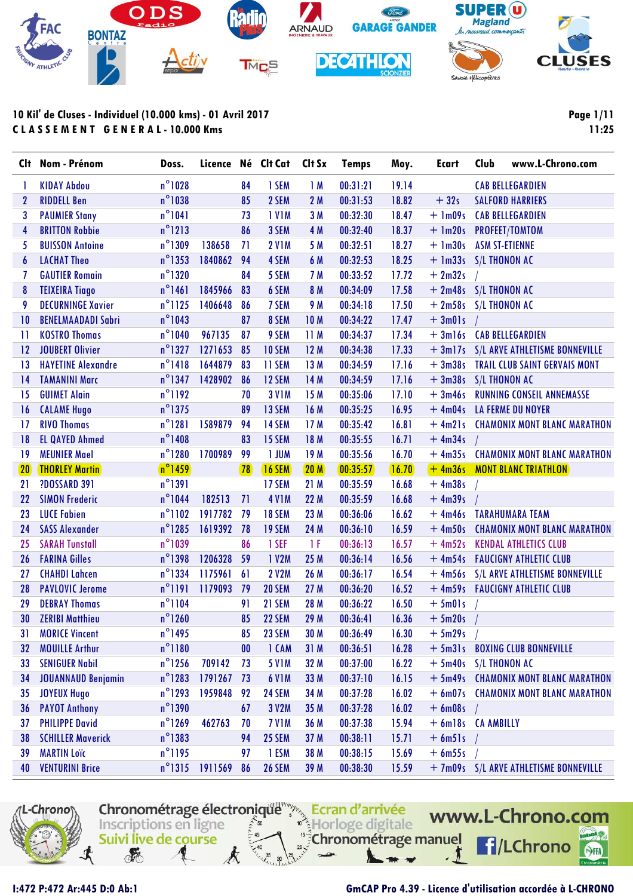

**Page 1/11 11:25**

| Clt          | Nom - Prénom              | Doss.            | Licence Né Clt Cat |                   |               | Clt Sx          | <b>Temps</b> | Moy.    | <b>Ecart</b>            | Club | www.L-Chrono.com                       |
|--------------|---------------------------|------------------|--------------------|-------------------|---------------|-----------------|--------------|---------|-------------------------|------|----------------------------------------|
| 1            | <b>KIDAY Abdou</b>        | $n^{\circ}$ 1028 |                    | 84                | 1 SEM         | 1M              | 00:31:21     | 19.14   |                         |      | <b>CAB BELLEGARDIEN</b>                |
| $\mathbf{2}$ | <b>RIDDELL Ben</b>        | $n^{\circ}$ 1038 |                    | 85                | 2 SEM         | 2M              | 00:31:53     | 18.82   | $+32s$                  |      | <b>SALFORD HARRIERS</b>                |
| 3            | <b>PAUMIER Stany</b>      | $n^{\circ}1041$  |                    | 73                | <b>IVIM</b>   | 3M              | 00:32:30     | 18.47   | $+ \text{lm09s}$        |      | <b>CAB BELLEGARDIEN</b>                |
| 4            | <b>BRITTON Robbie</b>     | $n^{\circ}$ 1213 |                    | 86                | 3 SEM         | 4 M             | 00:32:40     | 18.37   | + 1m20s PROFEET/TOMTOM  |      |                                        |
| 5            | <b>BUISSON Antoine</b>    | $n^{\circ}$ 1309 | 138658             | 71                | <b>2 V1M</b>  | 5 M             | 00:32:51     | 18.27   | + 1m30s ASM ST-ETIENNE  |      |                                        |
| 6            | <b>LACHAT Theo</b>        | $n^{\circ}$ 1353 | 1840862            | 94                | 4 SEM         | 6 M             | 00:32:53     | 18.25   | + 1m33s S/L THONON AC   |      |                                        |
| 7            | <b>GAUTIER Romain</b>     | $n^{\circ}$ 1320 |                    | 84                | 5 SEM         | 7 M             | 00:33:52     | 17.72   | $+2m32s$                |      |                                        |
| 8            | <b>TEIXEIRA Tiago</b>     | $n^{\circ}$ 1461 | 1845966            | 83                | 6 SEM         | 8 M             | 00:34:09     | 17.58   | $+ 2m48s$ S/L THONON AC |      |                                        |
| 9            | <b>DECURNINGE Xavier</b>  | $n^{\circ}$ 1125 | 1406648            | 86                | 7 SEM         | 9 M             | 00:34:18     | 17.50   | + 2m58s S/L THONON AC   |      |                                        |
| 10           | <b>BENELMAADADI Sabri</b> | $n^{\circ}$ 1043 |                    | 87                | 8 SEM         | <b>10M</b>      | 00:34:22     | 17.47   | $+3m01s$                |      |                                        |
| П            | <b>KOSTRO Thomas</b>      | $n^{\circ}1040$  | 967135             | 87                | 9 SEM         | 11M             | 00:34:37     | 17.34   |                         |      | + 3ml6s CAB BELLEGARDIEN               |
| 12           | <b>JOUBERT Olivier</b>    | $n^{\circ}$ 1327 | 1271653            | 85                | <b>10 SEM</b> | 12M             | 00:34:38     | 17.33   |                         |      | + 3m17s S/L ARVE ATHLETISME BONNEVILLE |
| 13           | <b>HAYETINE Alexandre</b> | $n^{\circ}$ 1418 | 1644879            | 83                | 11 SEM        | 13 M            | 00:34:59     | 17.16   |                         |      | + 3m38s TRAIL CLUB SAINT GERVAIS MONT  |
| 14           | <b>TAMANINI Marc</b>      | $n^{\circ}$ 1347 | 1428902            | 86                | <b>12 SEM</b> | 14 M            | 00:34:59     | 17.16   | $+3m38s$ S/L THONON AC  |      |                                        |
| 15           | <b>GUIMET Alain</b>       | $n^{\circ}1192$  |                    | 70                | <b>3 V1M</b>  | 15M             | 00:35:06     | 17.10   |                         |      | + 3m46s RUNNING CONSEIL ANNEMASSE      |
| 16           | <b>CALAME Hugo</b>        | $n^{\circ}$ 1375 |                    | 89                | 13 SEM        | 16M             | 00:35:25     | 16.95   |                         |      | + 4m04s LA FERME DU NOYER              |
| 17           | <b>RIVO Thomas</b>        | $n^{\circ}$ 1281 | 1589879            | 94                | 14 SEM        | 17 <sub>M</sub> | 00:35:42     | 16.81   |                         |      | + 4m21s CHAMONIX MONT BLANC MARATHON   |
| 18           | <b>EL QAYED Ahmed</b>     | $n^{\circ}$ 1408 |                    | 83                | 15 SEM        | 18 M            | 00:35:55     | 16.71   | $+4m34s$                |      |                                        |
| 19           | <b>MEUNIER Mael</b>       | $n^{\circ}$ 1280 | 1700989            | 99                | <b>I JUM</b>  | 19M             | 00:35:56     | 16.70   |                         |      | + 4m35s CHAMONIX MONT BLANC MARATHON   |
| 20           | <b>THORLEY Martin</b>     | $n^{\circ}$ 1459 |                    | $\sqrt{78}$       | <b>16 SEM</b> | 20 <sub>M</sub> | 00:35:57     | (16.70) |                         |      | +4m36s MONT BLANC TRIATHLON            |
| 21           | <b>?DOSSARD 391</b>       | $n^{\circ}1391$  |                    |                   | 17 SEM        | 21M             | 00:35:59     | 16.68   | $+4m38s$                |      |                                        |
| 22           | <b>SIMON Frederic</b>     | $n^{\circ}$ 1044 | 182513             | 71                | <b>4 V1M</b>  | 22 M            | 00:35:59     | 16.68   | $+4m39s$                |      |                                        |
| 23           | <b>LUCE Fabien</b>        | $n^{\circ}$ 1102 | 1917782            | 79                | <b>18 SEM</b> | 23 M            | 00:36:06     | 16.62   |                         |      | + 4m46s TARAHUMARA TEAM                |
| 24           | <b>SASS Alexander</b>     | $n^{\circ}$ 1285 | 1619392            | 78                | <b>19 SEM</b> | 24 M            | 00:36:10     | 16.59   | $+4m50s$                |      | <b>CHAMONIX MONT BLANC MARATHON</b>    |
| 25           | <b>SARAH Tunstall</b>     | $n^{\circ}$ 1039 |                    | 86                | 1 SEF         | 1 F             | 00:36:13     | 16.57   | $+4m52s$                |      | <b>KENDAL ATHLETICS CLUB</b>           |
| 26           | <b>FARINA Gilles</b>      | $n^{\circ}$ 1398 | 1206328            | 59                | 1 V2M         | 25 M            | 00:36:14     | 16.56   |                         |      | + 4m54s  FAUCIGNY ATHLETIC CLUB        |
| 27           | <b>CHAHDI Lahcen</b>      | $n^{\circ}$ 1334 | 1175961            | 61                | <b>2 V2M</b>  | 26 M            | 00:36:17     | 16.54   |                         |      | + 4m56s S/L ARVE ATHLETISME BONNEVILLE |
| 28           | <b>PAVLOVIC Jerome</b>    | $n^{\circ}1191$  | 1179093            | 79                | <b>20 SEM</b> | 27 M            | 00:36:20     | 16.52   |                         |      | + 4m59s  FAUCIGNY ATHLETIC CLUB        |
| 29           | <b>DEBRAY Thomas</b>      | $n^{\circ}$ 1104 |                    | 91                | 21 SEM        | 28 M            | 00:36:22     | 16.50   | $+5$ m $01s$            |      |                                        |
| 30           | <b>ZERIBI Matthieu</b>    | $n^{\circ}$ 1260 |                    | 85                | 22 SEM        | 29 M            | 00:36:41     | 16.36   | $+5m20s$                |      |                                        |
| 31           | <b>MORICE Vincent</b>     | $n^{\circ}$ 1495 |                    | 85                | 23 SEM        | 30 M            | 00:36:49     | 16.30   | $+5m29s$ /              |      |                                        |
| 32           | <b>MOUILLE Arthur</b>     | $n^{\circ}$ 1180 |                    | $\boldsymbol{00}$ | 1 CAM         | 31M             | 00:36:51     | 16.28   |                         |      | + 5m31s BOXING CLUB BONNEVILLE         |
| 33           | <b>SENIGUER Nabil</b>     | $n^{\circ}$ 1256 | 709142             | 73                | <b>5 V1M</b>  | 32 M            | 00:37:00     | 16.22   | + 5m40s S/L THONON AC   |      |                                        |
| 34           | <b>JOUANNAUD Benjamin</b> | $n^{\circ}$ 1283 | 1791267            | 73                | <b>6 V1M</b>  | 33 M            | 00:37:10     | 16.15   |                         |      | + 5m49s CHAMONIX MONT BLANC MARATHON   |
| 35           | <b>JOYEUX Hugo</b>        | $n^{\circ}$ 1293 | 1959848 92         |                   | 24 SEM        | 34 M            | 00:37:28     | 16.02   |                         |      | + 6m07s CHAMONIX MONT BLANC MARATHON   |
| 36           | <b>PAYOT Anthony</b>      | $n^{\circ}$ 1390 |                    | 67                | 3 V2M         | 35 M            | 00:37:28     | 16.02   | $+6$ m08s               |      |                                        |
| 37           | <b>PHILIPPE David</b>     | $n^{\circ}$ 1269 | 462763             | 70                | <b>7 V1M</b>  | 36 M            | 00:37:38     | 15.94   | + 6ml8s CA AMBILLY      |      |                                        |
| 38           | <b>SCHILLER Maverick</b>  | $n^{\circ}$ 1383 |                    | 94                | 25 SEM        | 37 M            | 00:38:11     | 15.71   | $+ 6m51s$               |      |                                        |
| 39           | <b>MARTIN Loïc</b>        | $n^{\circ}1195$  |                    | 97                | 1 ESM         | 38 M            | 00:38:15     | 15.69   | $+ 6m55s$               |      |                                        |
| 40           | <b>VENTURINI Brice</b>    | $n^{\circ}$ 1315 | 1911569            | 86                | <b>26 SEM</b> | 39 M            | 00:38:30     | 15.59   |                         |      | + 7m09s S/L ARVE ATHLETISME BONNEVILLE |



### **I:472 P:472 Ar:445 D:0 Ab:1 GmCAP Pro 4.39 - Licence d'utilisation accordée à L-CHRONO**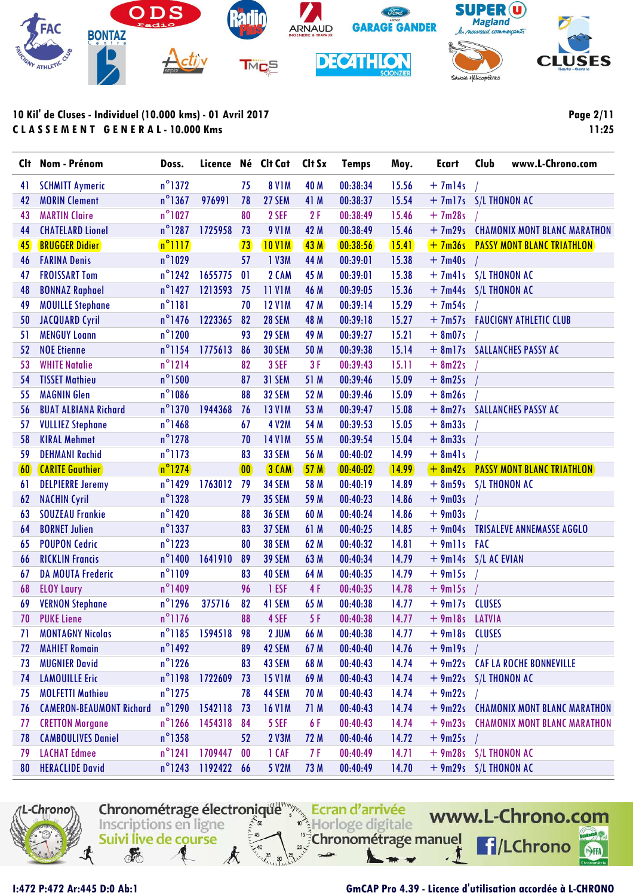

| Clt | Nom - Prénom                    | Doss.            | Licence Né Clt Cat          |              |               | Clt Sx | <b>Temps</b> | Moy.    | <b>Ecart</b>         | Club<br>www.L-Chrono.com             |
|-----|---------------------------------|------------------|-----------------------------|--------------|---------------|--------|--------------|---------|----------------------|--------------------------------------|
| 41  | <b>SCHMITT Aymeric</b>          | $n^{\circ}$ 1372 |                             | 75           | <b>8 V1M</b>  | 40 M   | 00:38:34     | 15.56   | $+7m$ <sup>14s</sup> |                                      |
| 42  | <b>MORIN Clement</b>            | $n^{\circ}$ 1367 | 976991                      | 78           | 27 SEM        | 41 M   | 00:38:37     | 15.54   |                      | + 7m17s S/L THONON AC                |
| 43  | <b>MARTIN Claire</b>            | $n^{\circ}$ 1027 |                             | 80           | 2 SEF         | 2F     | 00:38:49     | 15.46   | $+7m28s$             |                                      |
| 44  | <b>CHATELARD Lionel</b>         | $n^{\circ}$ 1287 | 1725958                     | 73           | <b>9 V1M</b>  | 42 M   | 00:38:49     | 15.46   |                      | + 7m29s CHAMONIX MONT BLANC MARATHON |
| 45  | <b>BRUGGER Didier</b>           | $n^{\circ}$ 1117 |                             | 73           | <b>10 VIM</b> | 43M    | 00:38:56     | 15.41   |                      | + 7m36s PASSY MONT BLANC TRIATHLON   |
| 46  | <b>FARINA Denis</b>             | $n^{\circ}$ 1029 |                             | 57           | 1 V3M         | 44 M   | 00:39:01     | 15.38   | $+7m40s$             |                                      |
| 47  | <b>FROISSART Tom</b>            | $n^{\circ}$ 1242 | 1655775                     | 01           | 2 CAM         | 45 M   | 00:39:01     | 15.38   |                      | + 7m41s S/L THONON AC                |
| 48  | <b>BONNAZ Raphael</b>           | $n^{\circ}$ 1427 | 1213593                     | 75           | <b>11 V1M</b> | 46 M   | 00:39:05     | 15.36   |                      | + 7m44s S/L THONON AC                |
| 49  | <b>MOUILLE Stephane</b>         | $n^{\circ}1181$  |                             | 70           | <b>12 V1M</b> | 47 M   | 00:39:14     | 15.29   | $+7m54s$             |                                      |
| 50  | <b>JACQUARD Cyril</b>           | $n^{\circ}$ 1476 | 1223365                     | 82           | <b>28 SEM</b> | 48 M   | 00:39:18     | 15.27   |                      | + 7m57s  FAUCIGNY ATHLETIC CLUB      |
| 51  | <b>MENGUY Loann</b>             | $n^{\circ}$ 1200 |                             | 93           | <b>29 SEM</b> | 49 M   | 00:39:27     | 15.21   | $+ 8m07s$            |                                      |
| 52  | <b>NOE Etienne</b>              | $n^{\circ}$ 1154 | 1775613                     | 86           | <b>30 SEM</b> | 50 M   | 00:39:38     | 15.14   |                      | + 8m17s SALLANCHES PASSY AC          |
| 53  | <b>WHITE Natalie</b>            | $n^{\circ}1214$  |                             | 82           | 3 SEF         | 3F     | 00:39:43     | 15.11   | $+ 8m22s$            |                                      |
| 54  | <b>TISSET Mathieu</b>           | $n^{\circ}$ 1500 |                             | 87           | 31 SEM        | 51 M   | 00:39:46     | 15.09   | $+ 8m25s$            |                                      |
| 55  | <b>MAGNIN Glen</b>              | $n^{\circ}$ 1086 |                             | 88           | <b>32 SEM</b> | 52 M   | 00:39:46     | 15.09   | $+ 8m26s$            |                                      |
| 56  | <b>BUAT ALBIANA Richard</b>     | $n^{\circ}$ 1370 | 1944368                     | 76           | <b>13 V1M</b> | 53 M   | 00:39:47     | 15.08   |                      | + 8m27s SALLANCHES PASSY AC          |
| 57  | <b>VULLIEZ Stephane</b>         | $n^{\circ}$ 1468 |                             | 67           | <b>4 V2M</b>  | 54 M   | 00:39:53     | 15.05   | $+8m33s$             |                                      |
| 58  | <b>KIRAL Mehmet</b>             | $n^{\circ}$ 1278 |                             | 70           | <b>14 V1M</b> | 55 M   | 00:39:54     | 15.04   | $+ 8m33s$            |                                      |
| 59  | <b>DEHMANI Rachid</b>           | $n^{\circ}$ 1173 |                             | 83           | 33 SEM        | 56 M   | 00:40:02     | 14.99   | $+ 8m41s$            |                                      |
| 60  | <b>CARITE Gauthier</b>          | $n^{\circ}$ 1274 |                             | $\boxed{00}$ | $3$ CAM       | 57M    | 00:40:02     | (14.99) |                      | + 8m42s PASSY MONT BLANC TRIATHLON   |
| 61  | <b>DELPIERRE Jeremy</b>         | $n^{\circ}$ 1429 | 1763012                     | 79           | <b>34 SEM</b> | 58 M   | 00:40:19     | 14.89   |                      | $+ 8m59s$ S/L THONON AC              |
| 62  | <b>NACHIN Cyril</b>             | $n^{\circ}$ 1328 |                             | 79           | <b>35 SEM</b> | 59 M   | 00:40:23     | 14.86   | $+9m03s$             |                                      |
| 63  | <b>SOUZEAU Frankie</b>          | $n^{\circ}$ 1420 |                             | 88           | <b>36 SEM</b> | 60 M   | 00:40:24     | 14.86   | $+9m03s$             |                                      |
| 64  | <b>BORNET Julien</b>            | $n^{\circ}$ 1337 |                             | 83           | 37 SEM        | 61 M   | 00:40:25     | 14.85   | $+9m04s$             | <b>TRISALEVE ANNEMASSE AGGLO</b>     |
| 65  | <b>POUPON Cedric</b>            | $n^{\circ}$ 1223 |                             | 80           | <b>38 SEM</b> | 62 M   | 00:40:32     | 14.81   | $+9$ mlls FAC        |                                      |
| 66  | <b>RICKLIN Francis</b>          | $n^{\circ}$ 1400 | 1641910                     | 89           | <b>39 SEM</b> | 63 M   | 00:40:34     | 14.79   |                      | $+$ 9m14s $S/L$ AC EVIAN             |
| 67  | <b>DA MOUTA Frederic</b>        | $n^{\circ}1109$  |                             | 83           | 40 SEM        | 64 M   | 00:40:35     | 14.79   | $+9m15s$             |                                      |
| 68  | <b>ELOY Laury</b>               | $n^{\circ}$ 1409 |                             | 96           | 1 ESF         | 4F     | 00:40:35     | 14.78   | $+9m15s$             |                                      |
| 69  | <b>VERNON Stephane</b>          | $n^{\circ}$ 1296 | 375716                      | 82           | 41 SEM        | 65 M   | 00:40:38     | 14.77   | $+9m17s$             | <b>CLUSES</b>                        |
| 70  | <b>PUKE Liene</b>               | $n^{\circ}$ 1176 |                             | 88           | 4 SEF         | 5F     | 00:40:38     | 14.77   | + 9m18s LATVIA       |                                      |
| 71  | <b>MONTAGNY Nicolas</b>         |                  | n <sup>o</sup> 1185 1594518 | 98           | 2 JUM         | 66 M   | 00:40:38     | 14.77   | + 9m18s CLUSES       |                                      |
| 72  | <b>MAHIET Romain</b>            | $n^{\circ}$ 1492 |                             | 89           | 42 SEM        | 67 M   | 00:40:40     | 14.76   | $+9m19s$             |                                      |
| 73  | <b>MUGNIER David</b>            | $n^{\circ}$ 1226 |                             | 83           | 43 SEM        | 68 M   | 00:40:43     | 14.74   |                      | + 9m22s CAF LA ROCHE BONNEVILLE      |
| 74  | <b>LAMOUILLE Eric</b>           | $n^{\circ}$ 1198 | 1722609                     | 73           | <b>15 V1M</b> | 69 M   | 00:40:43     | 14.74   |                      | $+9m22s$ S/L THONON AC               |
| 75  | <b>MOLFETTI Mathieu</b>         | $n^{\circ}$ 1275 |                             | 78           | 44 SEM        | 70 M   | 00:40:43     | 14.74   | $+9m22s$             |                                      |
| 76  | <b>CAMERON-BEAUMONT Richard</b> | $n^{\circ}$ 1290 | 1542118                     | 73           | <b>16 V1M</b> | 71 M   | 00:40:43     | 14.74   |                      | + 9m22s CHAMONIX MONT BLANC MARATHON |
| 77  | <b>CRETTON Morgane</b>          | $n^{\circ}$ 1266 | 1454318                     | 84           | 5 SEF         | 6 F    | 00:40:43     | 14.74   | $+9m23s$             | <b>CHAMONIX MONT BLANC MARATHON</b>  |
| 78  | <b>CAMBOULIVES Daniel</b>       | $n^{\circ}$ 1358 |                             | 52           | 2 V3M         | 72 M   | 00:40:46     | 14.72   | $+9m25s$             |                                      |
| 79  | <b>LACHAT Edmee</b>             | $n^{\circ}$ 1241 | 1709447                     | 00           | 1 CAF         | 7 F    | 00:40:49     | 14.71   |                      | $+9m28s$ S/L THONON AC               |
| 80  | <b>HERACLIDE David</b>          | $n^{\circ}$ 1243 | 1192422 66                  |              | 5 V2M         | 73 M   | 00:40:49     | 14.70   |                      | $+9m29s$ S/L THONON AC               |



### **I:472 P:472 Ar:445 D:0 Ab:1 GmCAP Pro 4.39 - Licence d'utilisation accordée à L-CHRONO**

**Page 2/11 11:25**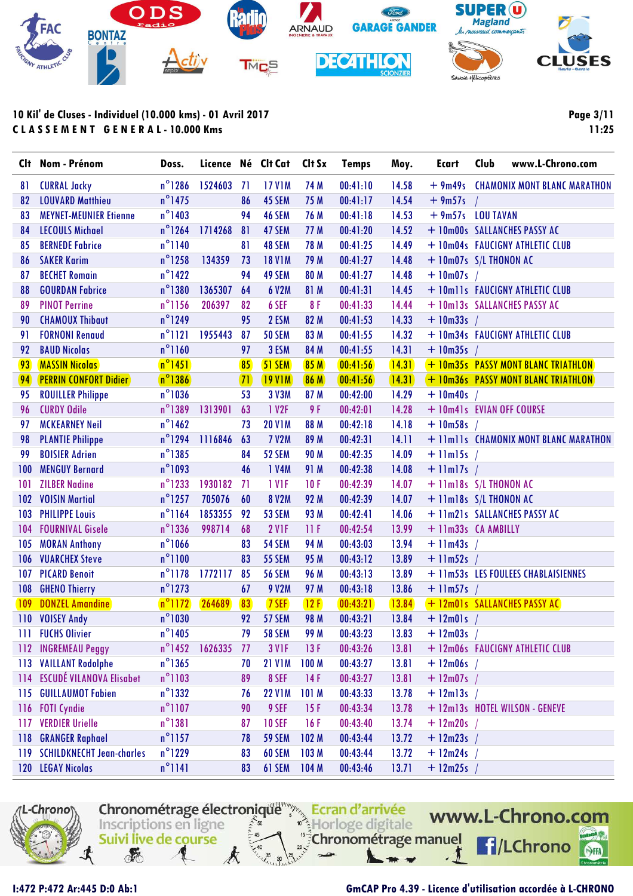

**Page 3/11 11:25**

| $n^{\circ}$ 1286<br>1524603<br><b>17 V1M</b><br>74 M<br>00:41:10<br><b>CURRAL Jacky</b><br>-71<br>14.58<br>+ 9m49s CHAMONIX MONT BLANC MARATHON<br>81<br>$n^{\circ}$ 1475<br><b>LOUVARD Matthieu</b><br>45 SEM<br>75 M<br>00:41:17<br>14.54<br>86<br>$+9m57s$<br>82<br>$n^{\circ}$ 1403<br>46 SEM<br>76 M<br>00:41:18<br>14.53<br>$+9m57s$ LOU TAVAN<br>83<br><b>MEYNET-MEUNIER Etienne</b><br>94<br>$n^{\circ}$ 1264<br>47 SEM<br>00:41:20<br>14.52<br>+ 10m00s SALLANCHES PASSY AC<br><b>LECOULS Michael</b><br>1714268<br>81<br>77 M<br>84<br>$n^{\circ}$ 1140<br>48 SEM<br>78 M<br>14.49<br><b>BERNEDE Fabrice</b><br>81<br>00:41:25<br>+ 10m04s FAUCIGNY ATHLETIC CLUB<br>85<br>$n^{\circ}$ 1258<br><b>SAKER Karim</b><br>134359<br><b>18 V1M</b><br>14.48<br>73<br>79 M<br>00:41:27<br>+ 10m07s S/L THONON AC<br>86<br>$n^{\circ}$ 1422<br>49 SEM<br><b>BECHET Romain</b><br>94<br>80 M<br>00:41:27<br>14.48<br>$+$ 10m07s /<br>87<br>$n^{\circ}$ 1380<br>1365307<br>14.45<br>+ 10mlls FAUCIGNY ATHLETIC CLUB<br>88<br><b>GOURDAN Fabrice</b><br>64<br>6 V2M<br>81 M<br>00:41:31<br>$n^{\circ}$ 1156<br><b>PINOT Perrine</b><br>206397<br>82<br>6 SEF<br>8F<br>00:41:33<br>14.44<br>+ 10m13s SALLANCHES PASSY AC<br>89<br>$n^{\circ}$ 1249<br><b>CHAMOUX Thibaut</b><br>95<br>2 ESM<br>82 M<br>14.33<br>00:41:53<br>$+$ 10m33s /<br>90<br>$n^{\circ}1121$<br>1955443<br><b>50 SEM</b><br>83 M<br>14.32<br><b>FORNONI Renaud</b><br>87<br>00:41:55<br>+ 10m34s FAUCIGNY ATHLETIC CLUB<br>91<br>$n^{\circ}$ 1160<br><b>BAUD Nicolas</b><br>3 ESM<br>84 M<br>14.31<br>92<br>97<br>00:41:55<br>$+$ 10m35s /<br>$n^{\circ}1451$<br><b>MASSIN Nicolas</b><br>85<br>85M<br>14.31<br>+ 10m35s PASSY MONT BLANC TRIATHLON<br>93<br>51 SEM<br>00:41:56<br>$n^{\circ}$ 1386<br><b>PERRIN CONFORT Didier</b><br><b>86 M</b><br>[00:41:56]<br>(14.31)<br>94<br>$\sqrt{71}$<br><b>19 VIM</b><br>+ 10m36s PASSY MONT BLANC TRIATHLON<br>$n^{\circ}$ 1036<br>14.29<br><b>ROUILLER Philippe</b><br>53<br>3 V3M<br>87 M<br>00:42:00<br>$+$ 10m40s /<br>95<br>$n^{\circ}$ 1389<br><b>CURDY Odile</b><br>1 V <sub>2F</sub><br>9 F<br>14.28<br>1313901<br>63<br>00:42:01<br>+ 10m41s EVIAN OFF COURSE<br>96<br>$n^{\circ}$ 1462<br><b>MCKEARNEY Neil</b><br><b>20 V1M</b><br>88 M<br>14.18<br>00:42:18<br>$+10m58s$<br>97<br>73<br>$n^{\circ}$ 1294<br>1116846<br>63<br><b>7 V2M</b><br>89 M<br>00:42:31<br>14.11<br><b>PLANTIE Philippe</b><br>+ 11m11s CHAMONIX MONT BLANC MARATHON<br>98<br>$n^{\circ}$ 1385<br><b>BOISIER Adrien</b><br>52 SEM<br><b>90 M</b><br>00:42:35<br>14.09<br>99<br>84<br>$+$ 11m15s<br>$n^{\circ}$ 1093<br><b>MENGUY Bernard</b><br>46<br>1 V4M<br>91 M<br>00:42:38<br>14.08<br>$+$ 11m17s /<br>100<br>$n^{\circ}$ 1233<br><b>ZILBER Nadine</b><br>1930182<br>1 VIF<br>71<br>10F<br>00:42:39<br>14.07<br>+ 11m18s S/L THONON AC<br>101<br>$n^{\circ}$ 1257<br>705076<br><b>8 V2M</b><br>92 M<br>14.07<br>102<br><b>VOISIN Martial</b><br>60<br>00:42:39<br>+ 11m18s S/L THONON AC<br>$n^{\circ}$ 1164<br>1853355<br>53 SEM<br>93 M<br>14.06<br>103<br><b>PHILIPPE Louis</b><br>92<br>00:42:41<br>+ 11m21s SALLANCHES PASSY AC<br>$n^{\circ}$ 1336<br><b>FOURNIVAL Gisele</b><br>998714<br><b>2 V1F</b><br>00:42:54<br>13.99<br>68<br>11F<br>+ 11m33s CA AMBILLY<br>104<br>$n^{\circ}$ 1066<br><b>54 SEM</b><br>94 M<br>00:43:03<br>105<br><b>MORAN Anthony</b><br>83<br>13.94<br>$+$ 11m43s /<br>$n^{\circ}1100$<br><b>VUARCHEX Steve</b><br><b>55 SEM</b><br>95 M<br>83<br>00:43:12<br>13.89<br>$+$ 11m52s /<br>106<br>$n^{\circ}$ 1178<br>1772117<br>13.89<br>107<br><b>PICARD Benoit</b><br>85<br><b>56 SEM</b><br>96 M<br>00:43:13<br>+ 11m53s LES FOULEES CHABLAISIENNES<br>$n^{\circ}$ 1273<br>108<br><b>GHENO Thierry</b><br>67<br>9 V2M<br>97 M<br>00:43:18<br>13.86<br>$+$ 11m57s /<br>$n^{\circ}$ 1172<br><b>109</b><br><b>DONZEL Amandine</b><br>264689<br>83<br>7 SEF<br>12F<br>00:43:21<br>13.84<br>+ 12m01s SALLANCHES PASSY AC<br>$n^{\circ}$ 1030<br>57 SEM<br>13.84<br>110<br><b>VOISEY Andy</b><br>92<br><b>98 M</b><br>00:43:21<br>$+$ 12m01s /<br>$n^{\circ}$ 1405<br>79<br><b>58 SEM</b><br>111 FUCHS Olivier<br>99 M<br>00:43:23<br>13.83<br>$+$ 12m03s /<br>$n^{\circ}$ 1452<br>112 INGREMEAU Peggy<br>1626335<br>3 V <sub>1</sub> F<br>13F<br>00:43:26<br>13.81<br>-77<br>+ 12m06s FAUCIGNY ATHLETIC CLUB<br>$n^{\circ}$ 1365<br><b>VAILLANT Rodolphe</b><br><b>21 V1M</b><br>100 <sub>M</sub><br>00:43:27<br>13.81<br>$+$ 12m06s /<br>113<br>70<br><b>ESCUDÉ VILANOVA Elisabet</b><br>$n^{\circ}$ 1103<br>114<br>89<br>8 SEF<br>14F<br>00:43:27<br>13.81<br>$+ 12m07s$ /<br>$n^{\circ}$ 1332<br><b>GUILLAUMOT Fabien</b><br>$+$ 12m13s<br><b>22 V1M</b><br>101 M<br>00:43:33<br>13.78<br>115<br>76<br>$n^{\circ}$ 1107<br><b>FOTI Cyndie</b><br>9 SEF<br>+ 12m13s HOTEL WILSON - GENEVE<br>90<br>15F<br>00:43:34<br>13.78<br>116<br>$n^{\circ}$ 1381<br><b>VERDIER Urielle</b><br><b>10 SEF</b><br>00:43:40<br>117<br>16F<br>13.74<br>$+ 12m20s$<br>87<br>$n^{\circ}$ 1157<br><b>GRANGER Raphael</b><br>102 M<br><b>59 SEM</b><br>00:43:44<br>13.72<br>$+$ 12m23s<br>118<br>78<br><b>SCHILDKNECHT Jean-charles</b><br>$n^{\circ}$ 1229<br>83<br>60 SEM<br>103 M<br>00:43:44<br>13.72<br>$+$ 12m24s<br>119<br>$n^{\circ}1141$<br>120 LEGAY Nicolas<br>83<br>61 SEM<br>104M<br>00:43:46<br>13.71<br>$+ 12m25s$ / | Clt | Nom - Prénom | Doss. |  | Licence Né Clt Cat Clt Sx | <b>Temps</b> | Moy. | <b>Ecart</b> | Club<br>www.L-Chrono.com |
|-------------------------------------------------------------------------------------------------------------------------------------------------------------------------------------------------------------------------------------------------------------------------------------------------------------------------------------------------------------------------------------------------------------------------------------------------------------------------------------------------------------------------------------------------------------------------------------------------------------------------------------------------------------------------------------------------------------------------------------------------------------------------------------------------------------------------------------------------------------------------------------------------------------------------------------------------------------------------------------------------------------------------------------------------------------------------------------------------------------------------------------------------------------------------------------------------------------------------------------------------------------------------------------------------------------------------------------------------------------------------------------------------------------------------------------------------------------------------------------------------------------------------------------------------------------------------------------------------------------------------------------------------------------------------------------------------------------------------------------------------------------------------------------------------------------------------------------------------------------------------------------------------------------------------------------------------------------------------------------------------------------------------------------------------------------------------------------------------------------------------------------------------------------------------------------------------------------------------------------------------------------------------------------------------------------------------------------------------------------------------------------------------------------------------------------------------------------------------------------------------------------------------------------------------------------------------------------------------------------------------------------------------------------------------------------------------------------------------------------------------------------------------------------------------------------------------------------------------------------------------------------------------------------------------------------------------------------------------------------------------------------------------------------------------------------------------------------------------------------------------------------------------------------------------------------------------------------------------------------------------------------------------------------------------------------------------------------------------------------------------------------------------------------------------------------------------------------------------------------------------------------------------------------------------------------------------------------------------------------------------------------------------------------------------------------------------------------------------------------------------------------------------------------------------------------------------------------------------------------------------------------------------------------------------------------------------------------------------------------------------------------------------------------------------------------------------------------------------------------------------------------------------------------------------------------------------------------------------------------------------------------------------------------------------------------------------------------------------------------------------------------------------------------------------------------------------------------------------------------------------------------------------------------------------------------------------------------------------------------------------------------------------------------------------------------------------------------------------------------------------------------------------------------------------------------------------------------------------------------------------------------------------------------------------------------------------------------------------------------------------------------------------------------------------------------------------------------------------------------------------------------------------------------------------------------------------------------------------------------------------------------------------------------------------------------------------------------------------------|-----|--------------|-------|--|---------------------------|--------------|------|--------------|--------------------------|
|                                                                                                                                                                                                                                                                                                                                                                                                                                                                                                                                                                                                                                                                                                                                                                                                                                                                                                                                                                                                                                                                                                                                                                                                                                                                                                                                                                                                                                                                                                                                                                                                                                                                                                                                                                                                                                                                                                                                                                                                                                                                                                                                                                                                                                                                                                                                                                                                                                                                                                                                                                                                                                                                                                                                                                                                                                                                                                                                                                                                                                                                                                                                                                                                                                                                                                                                                                                                                                                                                                                                                                                                                                                                                                                                                                                                                                                                                                                                                                                                                                                                                                                                                                                                                                                                                                                                                                                                                                                                                                                                                                                                                                                                                                                                                                                                                                                                                                                                                                                                                                                                                                                                                                                                                                                                                                                                                       |     |              |       |  |                           |              |      |              |                          |
|                                                                                                                                                                                                                                                                                                                                                                                                                                                                                                                                                                                                                                                                                                                                                                                                                                                                                                                                                                                                                                                                                                                                                                                                                                                                                                                                                                                                                                                                                                                                                                                                                                                                                                                                                                                                                                                                                                                                                                                                                                                                                                                                                                                                                                                                                                                                                                                                                                                                                                                                                                                                                                                                                                                                                                                                                                                                                                                                                                                                                                                                                                                                                                                                                                                                                                                                                                                                                                                                                                                                                                                                                                                                                                                                                                                                                                                                                                                                                                                                                                                                                                                                                                                                                                                                                                                                                                                                                                                                                                                                                                                                                                                                                                                                                                                                                                                                                                                                                                                                                                                                                                                                                                                                                                                                                                                                                       |     |              |       |  |                           |              |      |              |                          |
|                                                                                                                                                                                                                                                                                                                                                                                                                                                                                                                                                                                                                                                                                                                                                                                                                                                                                                                                                                                                                                                                                                                                                                                                                                                                                                                                                                                                                                                                                                                                                                                                                                                                                                                                                                                                                                                                                                                                                                                                                                                                                                                                                                                                                                                                                                                                                                                                                                                                                                                                                                                                                                                                                                                                                                                                                                                                                                                                                                                                                                                                                                                                                                                                                                                                                                                                                                                                                                                                                                                                                                                                                                                                                                                                                                                                                                                                                                                                                                                                                                                                                                                                                                                                                                                                                                                                                                                                                                                                                                                                                                                                                                                                                                                                                                                                                                                                                                                                                                                                                                                                                                                                                                                                                                                                                                                                                       |     |              |       |  |                           |              |      |              |                          |
|                                                                                                                                                                                                                                                                                                                                                                                                                                                                                                                                                                                                                                                                                                                                                                                                                                                                                                                                                                                                                                                                                                                                                                                                                                                                                                                                                                                                                                                                                                                                                                                                                                                                                                                                                                                                                                                                                                                                                                                                                                                                                                                                                                                                                                                                                                                                                                                                                                                                                                                                                                                                                                                                                                                                                                                                                                                                                                                                                                                                                                                                                                                                                                                                                                                                                                                                                                                                                                                                                                                                                                                                                                                                                                                                                                                                                                                                                                                                                                                                                                                                                                                                                                                                                                                                                                                                                                                                                                                                                                                                                                                                                                                                                                                                                                                                                                                                                                                                                                                                                                                                                                                                                                                                                                                                                                                                                       |     |              |       |  |                           |              |      |              |                          |
|                                                                                                                                                                                                                                                                                                                                                                                                                                                                                                                                                                                                                                                                                                                                                                                                                                                                                                                                                                                                                                                                                                                                                                                                                                                                                                                                                                                                                                                                                                                                                                                                                                                                                                                                                                                                                                                                                                                                                                                                                                                                                                                                                                                                                                                                                                                                                                                                                                                                                                                                                                                                                                                                                                                                                                                                                                                                                                                                                                                                                                                                                                                                                                                                                                                                                                                                                                                                                                                                                                                                                                                                                                                                                                                                                                                                                                                                                                                                                                                                                                                                                                                                                                                                                                                                                                                                                                                                                                                                                                                                                                                                                                                                                                                                                                                                                                                                                                                                                                                                                                                                                                                                                                                                                                                                                                                                                       |     |              |       |  |                           |              |      |              |                          |
|                                                                                                                                                                                                                                                                                                                                                                                                                                                                                                                                                                                                                                                                                                                                                                                                                                                                                                                                                                                                                                                                                                                                                                                                                                                                                                                                                                                                                                                                                                                                                                                                                                                                                                                                                                                                                                                                                                                                                                                                                                                                                                                                                                                                                                                                                                                                                                                                                                                                                                                                                                                                                                                                                                                                                                                                                                                                                                                                                                                                                                                                                                                                                                                                                                                                                                                                                                                                                                                                                                                                                                                                                                                                                                                                                                                                                                                                                                                                                                                                                                                                                                                                                                                                                                                                                                                                                                                                                                                                                                                                                                                                                                                                                                                                                                                                                                                                                                                                                                                                                                                                                                                                                                                                                                                                                                                                                       |     |              |       |  |                           |              |      |              |                          |
|                                                                                                                                                                                                                                                                                                                                                                                                                                                                                                                                                                                                                                                                                                                                                                                                                                                                                                                                                                                                                                                                                                                                                                                                                                                                                                                                                                                                                                                                                                                                                                                                                                                                                                                                                                                                                                                                                                                                                                                                                                                                                                                                                                                                                                                                                                                                                                                                                                                                                                                                                                                                                                                                                                                                                                                                                                                                                                                                                                                                                                                                                                                                                                                                                                                                                                                                                                                                                                                                                                                                                                                                                                                                                                                                                                                                                                                                                                                                                                                                                                                                                                                                                                                                                                                                                                                                                                                                                                                                                                                                                                                                                                                                                                                                                                                                                                                                                                                                                                                                                                                                                                                                                                                                                                                                                                                                                       |     |              |       |  |                           |              |      |              |                          |
|                                                                                                                                                                                                                                                                                                                                                                                                                                                                                                                                                                                                                                                                                                                                                                                                                                                                                                                                                                                                                                                                                                                                                                                                                                                                                                                                                                                                                                                                                                                                                                                                                                                                                                                                                                                                                                                                                                                                                                                                                                                                                                                                                                                                                                                                                                                                                                                                                                                                                                                                                                                                                                                                                                                                                                                                                                                                                                                                                                                                                                                                                                                                                                                                                                                                                                                                                                                                                                                                                                                                                                                                                                                                                                                                                                                                                                                                                                                                                                                                                                                                                                                                                                                                                                                                                                                                                                                                                                                                                                                                                                                                                                                                                                                                                                                                                                                                                                                                                                                                                                                                                                                                                                                                                                                                                                                                                       |     |              |       |  |                           |              |      |              |                          |
|                                                                                                                                                                                                                                                                                                                                                                                                                                                                                                                                                                                                                                                                                                                                                                                                                                                                                                                                                                                                                                                                                                                                                                                                                                                                                                                                                                                                                                                                                                                                                                                                                                                                                                                                                                                                                                                                                                                                                                                                                                                                                                                                                                                                                                                                                                                                                                                                                                                                                                                                                                                                                                                                                                                                                                                                                                                                                                                                                                                                                                                                                                                                                                                                                                                                                                                                                                                                                                                                                                                                                                                                                                                                                                                                                                                                                                                                                                                                                                                                                                                                                                                                                                                                                                                                                                                                                                                                                                                                                                                                                                                                                                                                                                                                                                                                                                                                                                                                                                                                                                                                                                                                                                                                                                                                                                                                                       |     |              |       |  |                           |              |      |              |                          |
|                                                                                                                                                                                                                                                                                                                                                                                                                                                                                                                                                                                                                                                                                                                                                                                                                                                                                                                                                                                                                                                                                                                                                                                                                                                                                                                                                                                                                                                                                                                                                                                                                                                                                                                                                                                                                                                                                                                                                                                                                                                                                                                                                                                                                                                                                                                                                                                                                                                                                                                                                                                                                                                                                                                                                                                                                                                                                                                                                                                                                                                                                                                                                                                                                                                                                                                                                                                                                                                                                                                                                                                                                                                                                                                                                                                                                                                                                                                                                                                                                                                                                                                                                                                                                                                                                                                                                                                                                                                                                                                                                                                                                                                                                                                                                                                                                                                                                                                                                                                                                                                                                                                                                                                                                                                                                                                                                       |     |              |       |  |                           |              |      |              |                          |
|                                                                                                                                                                                                                                                                                                                                                                                                                                                                                                                                                                                                                                                                                                                                                                                                                                                                                                                                                                                                                                                                                                                                                                                                                                                                                                                                                                                                                                                                                                                                                                                                                                                                                                                                                                                                                                                                                                                                                                                                                                                                                                                                                                                                                                                                                                                                                                                                                                                                                                                                                                                                                                                                                                                                                                                                                                                                                                                                                                                                                                                                                                                                                                                                                                                                                                                                                                                                                                                                                                                                                                                                                                                                                                                                                                                                                                                                                                                                                                                                                                                                                                                                                                                                                                                                                                                                                                                                                                                                                                                                                                                                                                                                                                                                                                                                                                                                                                                                                                                                                                                                                                                                                                                                                                                                                                                                                       |     |              |       |  |                           |              |      |              |                          |
|                                                                                                                                                                                                                                                                                                                                                                                                                                                                                                                                                                                                                                                                                                                                                                                                                                                                                                                                                                                                                                                                                                                                                                                                                                                                                                                                                                                                                                                                                                                                                                                                                                                                                                                                                                                                                                                                                                                                                                                                                                                                                                                                                                                                                                                                                                                                                                                                                                                                                                                                                                                                                                                                                                                                                                                                                                                                                                                                                                                                                                                                                                                                                                                                                                                                                                                                                                                                                                                                                                                                                                                                                                                                                                                                                                                                                                                                                                                                                                                                                                                                                                                                                                                                                                                                                                                                                                                                                                                                                                                                                                                                                                                                                                                                                                                                                                                                                                                                                                                                                                                                                                                                                                                                                                                                                                                                                       |     |              |       |  |                           |              |      |              |                          |
|                                                                                                                                                                                                                                                                                                                                                                                                                                                                                                                                                                                                                                                                                                                                                                                                                                                                                                                                                                                                                                                                                                                                                                                                                                                                                                                                                                                                                                                                                                                                                                                                                                                                                                                                                                                                                                                                                                                                                                                                                                                                                                                                                                                                                                                                                                                                                                                                                                                                                                                                                                                                                                                                                                                                                                                                                                                                                                                                                                                                                                                                                                                                                                                                                                                                                                                                                                                                                                                                                                                                                                                                                                                                                                                                                                                                                                                                                                                                                                                                                                                                                                                                                                                                                                                                                                                                                                                                                                                                                                                                                                                                                                                                                                                                                                                                                                                                                                                                                                                                                                                                                                                                                                                                                                                                                                                                                       |     |              |       |  |                           |              |      |              |                          |
|                                                                                                                                                                                                                                                                                                                                                                                                                                                                                                                                                                                                                                                                                                                                                                                                                                                                                                                                                                                                                                                                                                                                                                                                                                                                                                                                                                                                                                                                                                                                                                                                                                                                                                                                                                                                                                                                                                                                                                                                                                                                                                                                                                                                                                                                                                                                                                                                                                                                                                                                                                                                                                                                                                                                                                                                                                                                                                                                                                                                                                                                                                                                                                                                                                                                                                                                                                                                                                                                                                                                                                                                                                                                                                                                                                                                                                                                                                                                                                                                                                                                                                                                                                                                                                                                                                                                                                                                                                                                                                                                                                                                                                                                                                                                                                                                                                                                                                                                                                                                                                                                                                                                                                                                                                                                                                                                                       |     |              |       |  |                           |              |      |              |                          |
|                                                                                                                                                                                                                                                                                                                                                                                                                                                                                                                                                                                                                                                                                                                                                                                                                                                                                                                                                                                                                                                                                                                                                                                                                                                                                                                                                                                                                                                                                                                                                                                                                                                                                                                                                                                                                                                                                                                                                                                                                                                                                                                                                                                                                                                                                                                                                                                                                                                                                                                                                                                                                                                                                                                                                                                                                                                                                                                                                                                                                                                                                                                                                                                                                                                                                                                                                                                                                                                                                                                                                                                                                                                                                                                                                                                                                                                                                                                                                                                                                                                                                                                                                                                                                                                                                                                                                                                                                                                                                                                                                                                                                                                                                                                                                                                                                                                                                                                                                                                                                                                                                                                                                                                                                                                                                                                                                       |     |              |       |  |                           |              |      |              |                          |
|                                                                                                                                                                                                                                                                                                                                                                                                                                                                                                                                                                                                                                                                                                                                                                                                                                                                                                                                                                                                                                                                                                                                                                                                                                                                                                                                                                                                                                                                                                                                                                                                                                                                                                                                                                                                                                                                                                                                                                                                                                                                                                                                                                                                                                                                                                                                                                                                                                                                                                                                                                                                                                                                                                                                                                                                                                                                                                                                                                                                                                                                                                                                                                                                                                                                                                                                                                                                                                                                                                                                                                                                                                                                                                                                                                                                                                                                                                                                                                                                                                                                                                                                                                                                                                                                                                                                                                                                                                                                                                                                                                                                                                                                                                                                                                                                                                                                                                                                                                                                                                                                                                                                                                                                                                                                                                                                                       |     |              |       |  |                           |              |      |              |                          |
|                                                                                                                                                                                                                                                                                                                                                                                                                                                                                                                                                                                                                                                                                                                                                                                                                                                                                                                                                                                                                                                                                                                                                                                                                                                                                                                                                                                                                                                                                                                                                                                                                                                                                                                                                                                                                                                                                                                                                                                                                                                                                                                                                                                                                                                                                                                                                                                                                                                                                                                                                                                                                                                                                                                                                                                                                                                                                                                                                                                                                                                                                                                                                                                                                                                                                                                                                                                                                                                                                                                                                                                                                                                                                                                                                                                                                                                                                                                                                                                                                                                                                                                                                                                                                                                                                                                                                                                                                                                                                                                                                                                                                                                                                                                                                                                                                                                                                                                                                                                                                                                                                                                                                                                                                                                                                                                                                       |     |              |       |  |                           |              |      |              |                          |
|                                                                                                                                                                                                                                                                                                                                                                                                                                                                                                                                                                                                                                                                                                                                                                                                                                                                                                                                                                                                                                                                                                                                                                                                                                                                                                                                                                                                                                                                                                                                                                                                                                                                                                                                                                                                                                                                                                                                                                                                                                                                                                                                                                                                                                                                                                                                                                                                                                                                                                                                                                                                                                                                                                                                                                                                                                                                                                                                                                                                                                                                                                                                                                                                                                                                                                                                                                                                                                                                                                                                                                                                                                                                                                                                                                                                                                                                                                                                                                                                                                                                                                                                                                                                                                                                                                                                                                                                                                                                                                                                                                                                                                                                                                                                                                                                                                                                                                                                                                                                                                                                                                                                                                                                                                                                                                                                                       |     |              |       |  |                           |              |      |              |                          |
|                                                                                                                                                                                                                                                                                                                                                                                                                                                                                                                                                                                                                                                                                                                                                                                                                                                                                                                                                                                                                                                                                                                                                                                                                                                                                                                                                                                                                                                                                                                                                                                                                                                                                                                                                                                                                                                                                                                                                                                                                                                                                                                                                                                                                                                                                                                                                                                                                                                                                                                                                                                                                                                                                                                                                                                                                                                                                                                                                                                                                                                                                                                                                                                                                                                                                                                                                                                                                                                                                                                                                                                                                                                                                                                                                                                                                                                                                                                                                                                                                                                                                                                                                                                                                                                                                                                                                                                                                                                                                                                                                                                                                                                                                                                                                                                                                                                                                                                                                                                                                                                                                                                                                                                                                                                                                                                                                       |     |              |       |  |                           |              |      |              |                          |
|                                                                                                                                                                                                                                                                                                                                                                                                                                                                                                                                                                                                                                                                                                                                                                                                                                                                                                                                                                                                                                                                                                                                                                                                                                                                                                                                                                                                                                                                                                                                                                                                                                                                                                                                                                                                                                                                                                                                                                                                                                                                                                                                                                                                                                                                                                                                                                                                                                                                                                                                                                                                                                                                                                                                                                                                                                                                                                                                                                                                                                                                                                                                                                                                                                                                                                                                                                                                                                                                                                                                                                                                                                                                                                                                                                                                                                                                                                                                                                                                                                                                                                                                                                                                                                                                                                                                                                                                                                                                                                                                                                                                                                                                                                                                                                                                                                                                                                                                                                                                                                                                                                                                                                                                                                                                                                                                                       |     |              |       |  |                           |              |      |              |                          |
|                                                                                                                                                                                                                                                                                                                                                                                                                                                                                                                                                                                                                                                                                                                                                                                                                                                                                                                                                                                                                                                                                                                                                                                                                                                                                                                                                                                                                                                                                                                                                                                                                                                                                                                                                                                                                                                                                                                                                                                                                                                                                                                                                                                                                                                                                                                                                                                                                                                                                                                                                                                                                                                                                                                                                                                                                                                                                                                                                                                                                                                                                                                                                                                                                                                                                                                                                                                                                                                                                                                                                                                                                                                                                                                                                                                                                                                                                                                                                                                                                                                                                                                                                                                                                                                                                                                                                                                                                                                                                                                                                                                                                                                                                                                                                                                                                                                                                                                                                                                                                                                                                                                                                                                                                                                                                                                                                       |     |              |       |  |                           |              |      |              |                          |
|                                                                                                                                                                                                                                                                                                                                                                                                                                                                                                                                                                                                                                                                                                                                                                                                                                                                                                                                                                                                                                                                                                                                                                                                                                                                                                                                                                                                                                                                                                                                                                                                                                                                                                                                                                                                                                                                                                                                                                                                                                                                                                                                                                                                                                                                                                                                                                                                                                                                                                                                                                                                                                                                                                                                                                                                                                                                                                                                                                                                                                                                                                                                                                                                                                                                                                                                                                                                                                                                                                                                                                                                                                                                                                                                                                                                                                                                                                                                                                                                                                                                                                                                                                                                                                                                                                                                                                                                                                                                                                                                                                                                                                                                                                                                                                                                                                                                                                                                                                                                                                                                                                                                                                                                                                                                                                                                                       |     |              |       |  |                           |              |      |              |                          |
|                                                                                                                                                                                                                                                                                                                                                                                                                                                                                                                                                                                                                                                                                                                                                                                                                                                                                                                                                                                                                                                                                                                                                                                                                                                                                                                                                                                                                                                                                                                                                                                                                                                                                                                                                                                                                                                                                                                                                                                                                                                                                                                                                                                                                                                                                                                                                                                                                                                                                                                                                                                                                                                                                                                                                                                                                                                                                                                                                                                                                                                                                                                                                                                                                                                                                                                                                                                                                                                                                                                                                                                                                                                                                                                                                                                                                                                                                                                                                                                                                                                                                                                                                                                                                                                                                                                                                                                                                                                                                                                                                                                                                                                                                                                                                                                                                                                                                                                                                                                                                                                                                                                                                                                                                                                                                                                                                       |     |              |       |  |                           |              |      |              |                          |
|                                                                                                                                                                                                                                                                                                                                                                                                                                                                                                                                                                                                                                                                                                                                                                                                                                                                                                                                                                                                                                                                                                                                                                                                                                                                                                                                                                                                                                                                                                                                                                                                                                                                                                                                                                                                                                                                                                                                                                                                                                                                                                                                                                                                                                                                                                                                                                                                                                                                                                                                                                                                                                                                                                                                                                                                                                                                                                                                                                                                                                                                                                                                                                                                                                                                                                                                                                                                                                                                                                                                                                                                                                                                                                                                                                                                                                                                                                                                                                                                                                                                                                                                                                                                                                                                                                                                                                                                                                                                                                                                                                                                                                                                                                                                                                                                                                                                                                                                                                                                                                                                                                                                                                                                                                                                                                                                                       |     |              |       |  |                           |              |      |              |                          |
|                                                                                                                                                                                                                                                                                                                                                                                                                                                                                                                                                                                                                                                                                                                                                                                                                                                                                                                                                                                                                                                                                                                                                                                                                                                                                                                                                                                                                                                                                                                                                                                                                                                                                                                                                                                                                                                                                                                                                                                                                                                                                                                                                                                                                                                                                                                                                                                                                                                                                                                                                                                                                                                                                                                                                                                                                                                                                                                                                                                                                                                                                                                                                                                                                                                                                                                                                                                                                                                                                                                                                                                                                                                                                                                                                                                                                                                                                                                                                                                                                                                                                                                                                                                                                                                                                                                                                                                                                                                                                                                                                                                                                                                                                                                                                                                                                                                                                                                                                                                                                                                                                                                                                                                                                                                                                                                                                       |     |              |       |  |                           |              |      |              |                          |
|                                                                                                                                                                                                                                                                                                                                                                                                                                                                                                                                                                                                                                                                                                                                                                                                                                                                                                                                                                                                                                                                                                                                                                                                                                                                                                                                                                                                                                                                                                                                                                                                                                                                                                                                                                                                                                                                                                                                                                                                                                                                                                                                                                                                                                                                                                                                                                                                                                                                                                                                                                                                                                                                                                                                                                                                                                                                                                                                                                                                                                                                                                                                                                                                                                                                                                                                                                                                                                                                                                                                                                                                                                                                                                                                                                                                                                                                                                                                                                                                                                                                                                                                                                                                                                                                                                                                                                                                                                                                                                                                                                                                                                                                                                                                                                                                                                                                                                                                                                                                                                                                                                                                                                                                                                                                                                                                                       |     |              |       |  |                           |              |      |              |                          |
|                                                                                                                                                                                                                                                                                                                                                                                                                                                                                                                                                                                                                                                                                                                                                                                                                                                                                                                                                                                                                                                                                                                                                                                                                                                                                                                                                                                                                                                                                                                                                                                                                                                                                                                                                                                                                                                                                                                                                                                                                                                                                                                                                                                                                                                                                                                                                                                                                                                                                                                                                                                                                                                                                                                                                                                                                                                                                                                                                                                                                                                                                                                                                                                                                                                                                                                                                                                                                                                                                                                                                                                                                                                                                                                                                                                                                                                                                                                                                                                                                                                                                                                                                                                                                                                                                                                                                                                                                                                                                                                                                                                                                                                                                                                                                                                                                                                                                                                                                                                                                                                                                                                                                                                                                                                                                                                                                       |     |              |       |  |                           |              |      |              |                          |
|                                                                                                                                                                                                                                                                                                                                                                                                                                                                                                                                                                                                                                                                                                                                                                                                                                                                                                                                                                                                                                                                                                                                                                                                                                                                                                                                                                                                                                                                                                                                                                                                                                                                                                                                                                                                                                                                                                                                                                                                                                                                                                                                                                                                                                                                                                                                                                                                                                                                                                                                                                                                                                                                                                                                                                                                                                                                                                                                                                                                                                                                                                                                                                                                                                                                                                                                                                                                                                                                                                                                                                                                                                                                                                                                                                                                                                                                                                                                                                                                                                                                                                                                                                                                                                                                                                                                                                                                                                                                                                                                                                                                                                                                                                                                                                                                                                                                                                                                                                                                                                                                                                                                                                                                                                                                                                                                                       |     |              |       |  |                           |              |      |              |                          |
|                                                                                                                                                                                                                                                                                                                                                                                                                                                                                                                                                                                                                                                                                                                                                                                                                                                                                                                                                                                                                                                                                                                                                                                                                                                                                                                                                                                                                                                                                                                                                                                                                                                                                                                                                                                                                                                                                                                                                                                                                                                                                                                                                                                                                                                                                                                                                                                                                                                                                                                                                                                                                                                                                                                                                                                                                                                                                                                                                                                                                                                                                                                                                                                                                                                                                                                                                                                                                                                                                                                                                                                                                                                                                                                                                                                                                                                                                                                                                                                                                                                                                                                                                                                                                                                                                                                                                                                                                                                                                                                                                                                                                                                                                                                                                                                                                                                                                                                                                                                                                                                                                                                                                                                                                                                                                                                                                       |     |              |       |  |                           |              |      |              |                          |
|                                                                                                                                                                                                                                                                                                                                                                                                                                                                                                                                                                                                                                                                                                                                                                                                                                                                                                                                                                                                                                                                                                                                                                                                                                                                                                                                                                                                                                                                                                                                                                                                                                                                                                                                                                                                                                                                                                                                                                                                                                                                                                                                                                                                                                                                                                                                                                                                                                                                                                                                                                                                                                                                                                                                                                                                                                                                                                                                                                                                                                                                                                                                                                                                                                                                                                                                                                                                                                                                                                                                                                                                                                                                                                                                                                                                                                                                                                                                                                                                                                                                                                                                                                                                                                                                                                                                                                                                                                                                                                                                                                                                                                                                                                                                                                                                                                                                                                                                                                                                                                                                                                                                                                                                                                                                                                                                                       |     |              |       |  |                           |              |      |              |                          |
|                                                                                                                                                                                                                                                                                                                                                                                                                                                                                                                                                                                                                                                                                                                                                                                                                                                                                                                                                                                                                                                                                                                                                                                                                                                                                                                                                                                                                                                                                                                                                                                                                                                                                                                                                                                                                                                                                                                                                                                                                                                                                                                                                                                                                                                                                                                                                                                                                                                                                                                                                                                                                                                                                                                                                                                                                                                                                                                                                                                                                                                                                                                                                                                                                                                                                                                                                                                                                                                                                                                                                                                                                                                                                                                                                                                                                                                                                                                                                                                                                                                                                                                                                                                                                                                                                                                                                                                                                                                                                                                                                                                                                                                                                                                                                                                                                                                                                                                                                                                                                                                                                                                                                                                                                                                                                                                                                       |     |              |       |  |                           |              |      |              |                          |
|                                                                                                                                                                                                                                                                                                                                                                                                                                                                                                                                                                                                                                                                                                                                                                                                                                                                                                                                                                                                                                                                                                                                                                                                                                                                                                                                                                                                                                                                                                                                                                                                                                                                                                                                                                                                                                                                                                                                                                                                                                                                                                                                                                                                                                                                                                                                                                                                                                                                                                                                                                                                                                                                                                                                                                                                                                                                                                                                                                                                                                                                                                                                                                                                                                                                                                                                                                                                                                                                                                                                                                                                                                                                                                                                                                                                                                                                                                                                                                                                                                                                                                                                                                                                                                                                                                                                                                                                                                                                                                                                                                                                                                                                                                                                                                                                                                                                                                                                                                                                                                                                                                                                                                                                                                                                                                                                                       |     |              |       |  |                           |              |      |              |                          |
|                                                                                                                                                                                                                                                                                                                                                                                                                                                                                                                                                                                                                                                                                                                                                                                                                                                                                                                                                                                                                                                                                                                                                                                                                                                                                                                                                                                                                                                                                                                                                                                                                                                                                                                                                                                                                                                                                                                                                                                                                                                                                                                                                                                                                                                                                                                                                                                                                                                                                                                                                                                                                                                                                                                                                                                                                                                                                                                                                                                                                                                                                                                                                                                                                                                                                                                                                                                                                                                                                                                                                                                                                                                                                                                                                                                                                                                                                                                                                                                                                                                                                                                                                                                                                                                                                                                                                                                                                                                                                                                                                                                                                                                                                                                                                                                                                                                                                                                                                                                                                                                                                                                                                                                                                                                                                                                                                       |     |              |       |  |                           |              |      |              |                          |
|                                                                                                                                                                                                                                                                                                                                                                                                                                                                                                                                                                                                                                                                                                                                                                                                                                                                                                                                                                                                                                                                                                                                                                                                                                                                                                                                                                                                                                                                                                                                                                                                                                                                                                                                                                                                                                                                                                                                                                                                                                                                                                                                                                                                                                                                                                                                                                                                                                                                                                                                                                                                                                                                                                                                                                                                                                                                                                                                                                                                                                                                                                                                                                                                                                                                                                                                                                                                                                                                                                                                                                                                                                                                                                                                                                                                                                                                                                                                                                                                                                                                                                                                                                                                                                                                                                                                                                                                                                                                                                                                                                                                                                                                                                                                                                                                                                                                                                                                                                                                                                                                                                                                                                                                                                                                                                                                                       |     |              |       |  |                           |              |      |              |                          |
|                                                                                                                                                                                                                                                                                                                                                                                                                                                                                                                                                                                                                                                                                                                                                                                                                                                                                                                                                                                                                                                                                                                                                                                                                                                                                                                                                                                                                                                                                                                                                                                                                                                                                                                                                                                                                                                                                                                                                                                                                                                                                                                                                                                                                                                                                                                                                                                                                                                                                                                                                                                                                                                                                                                                                                                                                                                                                                                                                                                                                                                                                                                                                                                                                                                                                                                                                                                                                                                                                                                                                                                                                                                                                                                                                                                                                                                                                                                                                                                                                                                                                                                                                                                                                                                                                                                                                                                                                                                                                                                                                                                                                                                                                                                                                                                                                                                                                                                                                                                                                                                                                                                                                                                                                                                                                                                                                       |     |              |       |  |                           |              |      |              |                          |
|                                                                                                                                                                                                                                                                                                                                                                                                                                                                                                                                                                                                                                                                                                                                                                                                                                                                                                                                                                                                                                                                                                                                                                                                                                                                                                                                                                                                                                                                                                                                                                                                                                                                                                                                                                                                                                                                                                                                                                                                                                                                                                                                                                                                                                                                                                                                                                                                                                                                                                                                                                                                                                                                                                                                                                                                                                                                                                                                                                                                                                                                                                                                                                                                                                                                                                                                                                                                                                                                                                                                                                                                                                                                                                                                                                                                                                                                                                                                                                                                                                                                                                                                                                                                                                                                                                                                                                                                                                                                                                                                                                                                                                                                                                                                                                                                                                                                                                                                                                                                                                                                                                                                                                                                                                                                                                                                                       |     |              |       |  |                           |              |      |              |                          |
|                                                                                                                                                                                                                                                                                                                                                                                                                                                                                                                                                                                                                                                                                                                                                                                                                                                                                                                                                                                                                                                                                                                                                                                                                                                                                                                                                                                                                                                                                                                                                                                                                                                                                                                                                                                                                                                                                                                                                                                                                                                                                                                                                                                                                                                                                                                                                                                                                                                                                                                                                                                                                                                                                                                                                                                                                                                                                                                                                                                                                                                                                                                                                                                                                                                                                                                                                                                                                                                                                                                                                                                                                                                                                                                                                                                                                                                                                                                                                                                                                                                                                                                                                                                                                                                                                                                                                                                                                                                                                                                                                                                                                                                                                                                                                                                                                                                                                                                                                                                                                                                                                                                                                                                                                                                                                                                                                       |     |              |       |  |                           |              |      |              |                          |
|                                                                                                                                                                                                                                                                                                                                                                                                                                                                                                                                                                                                                                                                                                                                                                                                                                                                                                                                                                                                                                                                                                                                                                                                                                                                                                                                                                                                                                                                                                                                                                                                                                                                                                                                                                                                                                                                                                                                                                                                                                                                                                                                                                                                                                                                                                                                                                                                                                                                                                                                                                                                                                                                                                                                                                                                                                                                                                                                                                                                                                                                                                                                                                                                                                                                                                                                                                                                                                                                                                                                                                                                                                                                                                                                                                                                                                                                                                                                                                                                                                                                                                                                                                                                                                                                                                                                                                                                                                                                                                                                                                                                                                                                                                                                                                                                                                                                                                                                                                                                                                                                                                                                                                                                                                                                                                                                                       |     |              |       |  |                           |              |      |              |                          |
|                                                                                                                                                                                                                                                                                                                                                                                                                                                                                                                                                                                                                                                                                                                                                                                                                                                                                                                                                                                                                                                                                                                                                                                                                                                                                                                                                                                                                                                                                                                                                                                                                                                                                                                                                                                                                                                                                                                                                                                                                                                                                                                                                                                                                                                                                                                                                                                                                                                                                                                                                                                                                                                                                                                                                                                                                                                                                                                                                                                                                                                                                                                                                                                                                                                                                                                                                                                                                                                                                                                                                                                                                                                                                                                                                                                                                                                                                                                                                                                                                                                                                                                                                                                                                                                                                                                                                                                                                                                                                                                                                                                                                                                                                                                                                                                                                                                                                                                                                                                                                                                                                                                                                                                                                                                                                                                                                       |     |              |       |  |                           |              |      |              |                          |
|                                                                                                                                                                                                                                                                                                                                                                                                                                                                                                                                                                                                                                                                                                                                                                                                                                                                                                                                                                                                                                                                                                                                                                                                                                                                                                                                                                                                                                                                                                                                                                                                                                                                                                                                                                                                                                                                                                                                                                                                                                                                                                                                                                                                                                                                                                                                                                                                                                                                                                                                                                                                                                                                                                                                                                                                                                                                                                                                                                                                                                                                                                                                                                                                                                                                                                                                                                                                                                                                                                                                                                                                                                                                                                                                                                                                                                                                                                                                                                                                                                                                                                                                                                                                                                                                                                                                                                                                                                                                                                                                                                                                                                                                                                                                                                                                                                                                                                                                                                                                                                                                                                                                                                                                                                                                                                                                                       |     |              |       |  |                           |              |      |              |                          |

Chronométrage électronique results Ecran d'arrivée

K.

 $\approx 50$ 

 $\frac{35}{4}$  30

Inscriptions en ligne

**REA** 

Horloge digitale

Chronométrage manuel



L-Chrono

**I:472 P:472 Ar:445 D:0 Ab:1 GmCAP Pro 4.39 - Licence d'utilisation accordée à L-CHRONO**

 $\mathbf{f}$ 

www.L-Chrono.com

**f**/LChrono

SHA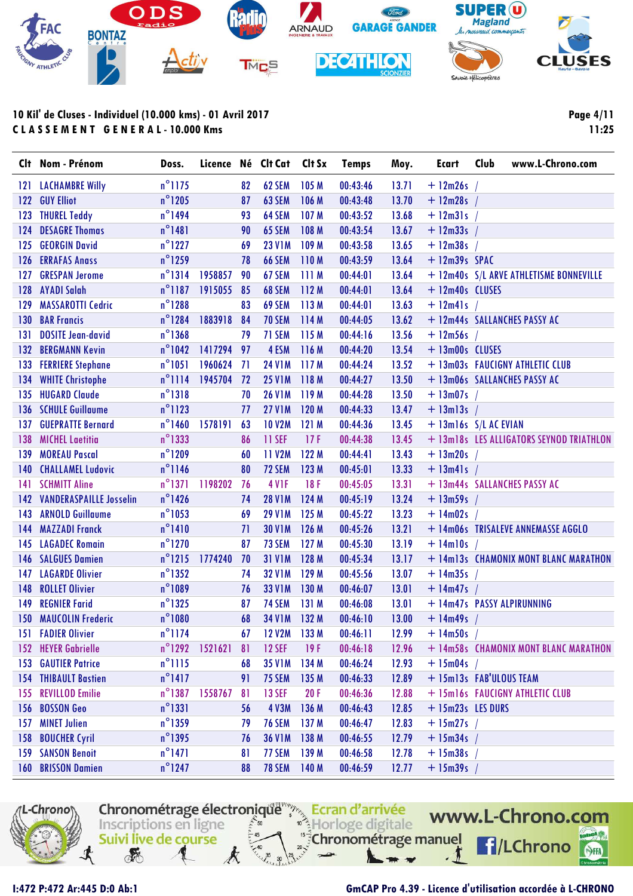

|     | Clt Nom - Prénom             | Doss.            | Licence Né CIt Cat       |           |                   | Clt Sx           | Temps    | Moy.  | Ecart             | Club<br>www.L-Chrono.com                 |
|-----|------------------------------|------------------|--------------------------|-----------|-------------------|------------------|----------|-------|-------------------|------------------------------------------|
|     | 121 LACHAMBRE Willy          | $n^{\circ}$ 1175 |                          | 82        | 62 SEM            | 105 M            | 00:43:46 | 13.71 | $+ 12m26s$        |                                          |
|     | 122 GUY Elliot               | $n^{\circ}$ 1205 |                          | 87        | 63 SEM            | 106 M            | 00:43:48 | 13.70 | $+ 12m28s$ /      |                                          |
| 123 | <b>THUREL Teddy</b>          | $n^{\circ}$ 1494 |                          | 93        | 64 SEM            | 107 <sub>M</sub> | 00:43:52 | 13.68 | $+$ 12m31s /      |                                          |
|     | 124 DESAGRE Thomas           | $n^{\circ}$ 1481 |                          | 90        | <b>65 SEM</b>     | 108 M            | 00:43:54 | 13.67 | $+ 12m33s$        |                                          |
|     | 125 GEORGIN David            | $n^{\circ}$ 1227 |                          | 69        | <b>23 V1M</b>     | 109 M            | 00:43:58 | 13.65 | $+ 12m38s$ /      |                                          |
|     | 126 ERRAFAS Anass            | $n^{\circ}$ 1259 |                          | 78        | <b>66 SEM</b>     | 110M             | 00:43:59 | 13.64 | $+ 12m39s$ SPAC   |                                          |
|     | 127 GRESPAN Jerome           | $n^{\circ}1314$  | 1958857                  | 90        | 67 SEM            | 111 M            | 00:44:01 | 13.64 |                   | + 12m40s S/L ARVE ATHLETISME BONNEVILLE  |
|     | 128 AYADI Salah              | $n^{\circ}$ 1187 | 1915055                  | 85        | 68 SEM            | 112M             | 00:44:01 | 13.64 | + 12m40s CLUSES   |                                          |
| 129 | <b>MASSAROTTI Cedric</b>     | $n^{\circ}$ 1288 |                          | 83        | 69 SEM            | 113M             | 00:44:01 | 13.63 | $+$ 12m41s /      |                                          |
|     | 130 BAR Francis              | $n^{\circ}$ 1284 | 1883918                  | 84        | <b>70 SEM</b>     | 114 M            | 00:44:05 | 13.62 |                   | + 12m44s SALLANCHES PASSY AC             |
| 131 | <b>DOSITE Jean-david</b>     | $n^{\circ}$ 1368 |                          | 79        | 71 SEM            | 115 M            | 00:44:16 | 13.56 | $+$ 12m56s /      |                                          |
|     | 132 BERGMANN Kevin           | $n^{\circ}1042$  | 1417294 97               |           | 4 ESM             | 116 M            | 00:44:20 | 13.54 | + 13m00s CLUSES   |                                          |
|     | 133 FERRIERE Stephane        | $n^{\circ}$ 1051 | 1960624                  | -71       | <b>24 V1M</b>     | 117 M            | 00:44:24 | 13.52 |                   | + 13m03s FAUCIGNY ATHLETIC CLUB          |
| 134 | <b>WHITE Christophe</b>      | $n^{\circ}$ 1114 | 1945704                  | <b>72</b> | <b>25 V1M</b>     | 118 M            | 00:44:27 | 13.50 |                   | + 13m06s SALLANCHES PASSY AC             |
|     | 135 HUGARD Claude            | $n^{\circ}1318$  |                          | 70        | <b>26 V1M</b>     | 119 M            | 00:44:28 | 13.50 | $+ 13m07s$ /      |                                          |
|     | 136 SCHULE Guillaume         | $n^{\circ}1123$  |                          | 77        | <b>27 V1M</b>     | 120 M            | 00:44:33 | 13.47 | $+$ 13m13s /      |                                          |
|     | <b>137 GUEPRATTE Bernard</b> | $n^{\circ}$ 1460 | 1578191                  | 63        | <b>10 V2M</b>     | 121M             | 00:44:36 | 13.45 |                   | $+$ 13m16s $S/L$ AC EVIAN                |
|     | 138 MICHEL Laetitia          | $n^{\circ}$ 1333 |                          | 86        | 11 SEF            | 17F              | 00:44:38 | 13.45 |                   | + 13m18s LES ALLIGATORS SEYNOD TRIATHLON |
|     | 139 MOREAU Pascal            | $n^{\circ}$ 1209 |                          | 60        | 11 V2M            | 122 M            | 00:44:41 | 13.43 | $+ 13m20s$ /      |                                          |
| 140 | <b>CHALLAMEL Ludovic</b>     | $n^{\circ}$ 1146 |                          | 80        | 72 SEM            | 123 M            | 00:45:01 | 13.33 | $+$ 13m41s /      |                                          |
| 141 | <b>SCHMITT Aline</b>         | $n^{\circ}$ 1371 | 1198202                  | 76        | 4 V <sub>IF</sub> | 18F              | 00:45:05 | 13.31 |                   | + 13m44s SALLANCHES PASSY AC             |
|     | 142 VANDERASPAILLE Josselin  | $n^{\circ}$ 1426 |                          | 74        | <b>28 V1M</b>     | 124 M            | 00:45:19 | 13.24 | $+ 13m59s$        |                                          |
|     | 143 ARNOLD Guillaume         | $n^{\circ}$ 1053 |                          | 69        | <b>29 V1M</b>     | 125M             | 00:45:22 | 13.23 | $+$ 14m02s /      |                                          |
| 144 | <b>MAZZADI Franck</b>        | $n^{\circ}$ 1410 |                          | 71        | <b>30 V1M</b>     | 126 M            | 00:45:26 | 13.21 |                   | + 14m06s TRISALEVE ANNEMASSE AGGLO       |
|     | 145 LAGADEC Romain           | $n^{\circ}$ 1270 |                          | 87        | 73 SEM            | 127M             | 00:45:30 | 13.19 | $+$ 14m10s /      |                                          |
|     | 146 SALGUES Damien           | $n^{\circ}$ 1215 | 1774240                  | 70        | <b>31 V1M</b>     | 128 M            | 00:45:34 | 13.17 |                   | + 14m13s CHAMONIX MONT BLANC MARATHON    |
|     | 147 LAGARDE Olivier          | $n^{\circ}$ 1352 |                          | 74        | <b>32 V1M</b>     | 129 M            | 00:45:56 | 13.07 | $+ 14m35s$ /      |                                          |
|     | 148 ROLLET Olivier           | $n^{\circ}1089$  |                          | 76        | <b>33 V1M</b>     | 130 M            | 00:46:07 | 13.01 | $+ 14m47s$ /      |                                          |
| 149 | <b>REGNIER Farid</b>         | $n^{\circ}$ 1325 |                          | 87        | 74 SEM            | 131 M            | 00:46:08 | 13.01 |                   | + 14m47s PASSY ALPIRUNNING               |
|     | <b>150 MAUCOLIN Frederic</b> | $n^{\circ}1080$  |                          | 68        | <b>34 V1M</b>     | 132 M            | 00:46:10 | 13.00 | $+ 14m49s$ /      |                                          |
|     | <b>151 FADIER Olivier</b>    | $n^{\circ}$ 1174 |                          | 67        | <b>12 V2M</b>     | 133M             | 00:46:11 | 12.99 | $+ 14m50s$        |                                          |
|     | 152 HEYER Gabrielle          |                  | $n^{\circ}$ 1292 1521621 | 81        | <b>12 SEF</b>     | 19F              | 00:46:18 | 12.96 |                   | + 14m58s CHAMONIX MONT BLANC MARATHON    |
|     | <b>153 GAUTIER Patrice</b>   | $n^{\circ}$ 1115 |                          | 68        | <b>35 V1M</b>     | 134 M            | 00:46:24 | 12.93 | $+ 15m04s$ /      |                                          |
|     | <b>154 THIBAULT Bastien</b>  | $n^{\circ}$ 1417 |                          | 91        | <b>75 SEM</b>     | 135 M            | 00:46:33 | 12.89 |                   | + 15m13s FAB'ULOUS TEAM                  |
|     | 155 REVILLOD Emilie          | $n^{\circ}$ 1387 | 1558767                  | 81        | <b>13 SEF</b>     | 20F              | 00:46:36 | 12.88 |                   | + 15m16s FAUCIGNY ATHLETIC CLUB          |
|     | 156 BOSSON Geo               | $n^{\circ}$ 1331 |                          | 56        | <b>4 V3M</b>      | 136 M            | 00:46:43 | 12.85 | + 15m23s LES DURS |                                          |
|     | 157 MINET Julien             | $n^{\circ}$ 1359 |                          | 79        | <b>76 SEM</b>     | 137 M            | 00:46:47 | 12.83 | $+ 15m27s$ /      |                                          |
|     | 158 BOUCHER Cyril            | $n^{\circ}$ 1395 |                          | 76        | <b>36 V1M</b>     | 138 M            | 00:46:55 | 12.79 | $+ 15m34s$ /      |                                          |
|     | <b>159 SANSON Benoit</b>     | $n^{\circ}$ 1471 |                          | 81        | 77 SEM            | 139 M            | 00:46:58 | 12.78 | $+ 15m38s$        |                                          |
|     | 160 BRISSON Damien           | $n^{\circ}$ 1247 |                          | 88        | <b>78 SEM</b>     | 140 M            | 00:46:59 | 12.77 | $+ 15m39s$ /      |                                          |

Chronométrage électronique ",">>> Ecran d'arrivée

 $\approx 50$ 

 $\frac{15}{3}$ 

Inscriptions en ligne

Suivi live de course

**REA** 

Horloge digitale

Chronométrage manuel



I:472 P:472 Ar:445 D:0 Ab:1

#### GmCAP Pro 4.39 - Licence d'utilisation accordée à L-CHRONO

www.L-Chrono.com

f /LChrono

SHA

**Page 4/11**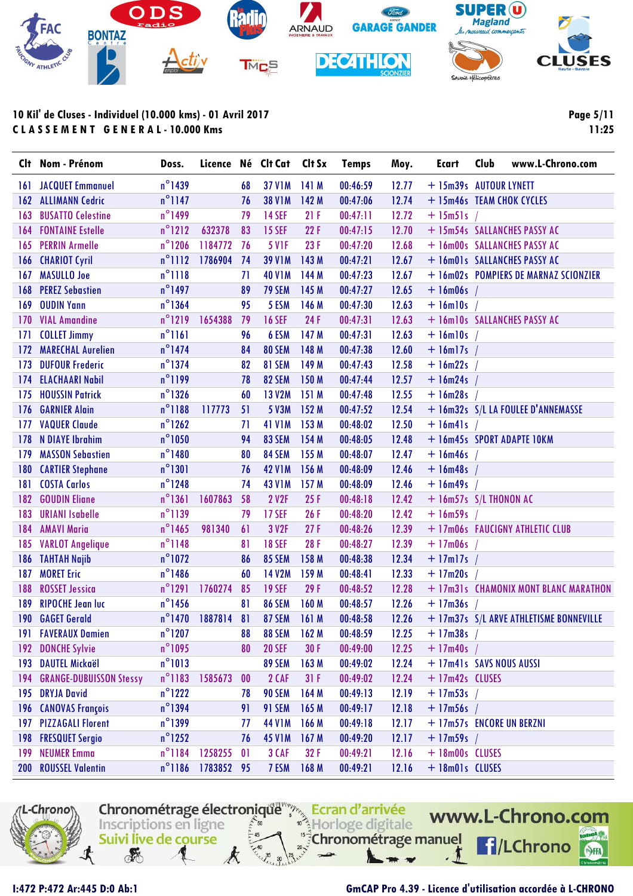

Page 5/11  $11:25$ 

|            | Clt Nom - Prénom               | Doss.            | Licence Né Clt Cat |     |               | Clt Sx           | <b>Temps</b> | Moy.  | <b>Ecart</b>               | Club | www.L-Chrono.com                        |
|------------|--------------------------------|------------------|--------------------|-----|---------------|------------------|--------------|-------|----------------------------|------|-----------------------------------------|
| 161        | <b>JACQUET Emmanuel</b>        | $n^{\circ}$ 1439 |                    | 68  | <b>37 V1M</b> | 141M             | 00:46:59     | 12.77 | + 15m39s AUTOUR LYNETT     |      |                                         |
| 162        | <b>ALLIMANN Cedric</b>         | $n^{\circ}$ 1147 |                    | 76  | <b>38 V1M</b> | 142M             | 00:47:06     | 12.74 | + 15m46s TEAM CHOK CYCLES  |      |                                         |
| 163        | <b>BUSATTO Celestine</b>       | $n^{\circ}$ 1499 |                    | 79  | <b>14 SEF</b> | 21F              | 00:47:11     | 12.72 | $+$ 15m51s /               |      |                                         |
| 164        | <b>FONTAINE Estelle</b>        | $n^{\circ}$ 1212 | 632378             | 83  | <b>15 SEF</b> | 22F              | 00:47:15     | 12.70 |                            |      | + 15m54s SALLANCHES PASSY AC            |
| 165        | <b>PERRIN Armelle</b>          | $n^{\circ}$ 1206 | 1184772            | -76 | <b>5 V1F</b>  | 23F              | 00:47:20     | 12.68 |                            |      | + 16m00s SALLANCHES PASSY AC            |
| 166        | <b>CHARIOT Cyril</b>           | $n^{\circ}$ 1112 | 1786904            | 74  | <b>39 V1M</b> | 143 M            | 00:47:21     | 12.67 |                            |      | + 16m01s SALLANCHES PASSY AC            |
| 167        | <b>MASULLO Joe</b>             | $n^{\circ}$ 1118 |                    | 71  | <b>40 V1M</b> | 144 M            | 00:47:23     | 12.67 |                            |      | + 16m02s POMPIERS DE MARNAZ SCIONZIER   |
| 168        | <b>PEREZ Sebastien</b>         | $n^{\circ}$ 1497 |                    | 89  | <b>79 SEM</b> | 145 M            | 00:47:27     | 12.65 | $+$ 16m06s /               |      |                                         |
| 169        | <b>OUDIN Yann</b>              | $n^{\circ}$ 1364 |                    | 95  | 5 ESM         | 146 M            | 00:47:30     | 12.63 | $+$ 16m10s                 |      |                                         |
| 170        | <b>VIAL Amandine</b>           | $n^{\circ}$ 1219 | 1654388            | 79  | <b>16 SEF</b> | 24 F             | 00:47:31     | 12.63 |                            |      | + 16m10s SALLANCHES PASSY AC            |
| 171        | <b>COLLET Jimmy</b>            | $n^{\circ}1161$  |                    | 96  | 6 ESM         | 147 M            | 00:47:31     | 12.63 | $+$ 16m10s /               |      |                                         |
| 172        | <b>MARECHAL Aurelien</b>       | $n^{\circ}$ 1474 |                    | 84  | 80 SEM        | 148 M            | 00:47:38     | 12.60 | $+$ 16m17s /               |      |                                         |
| 173        | <b>DUFOUR Frederic</b>         | $n^{\circ}$ 1374 |                    | 82  | 81 SEM        | 149 M            | 00:47:43     | 12.58 | $+16m22s$                  |      |                                         |
| 174        | <b>ELACHAARI Nabil</b>         | $n^{\circ}1199$  |                    | 78  | <b>82 SEM</b> | 150 M            | 00:47:44     | 12.57 | $+ 16m24s$                 |      |                                         |
| 175        | <b>HOUSSIN Patrick</b>         | $n^{\circ}$ 1326 |                    | 60  | <b>13 V2M</b> | 151M             | 00:47:48     | 12.55 | $+16m28s$                  |      |                                         |
| 176        | <b>GARNIER Alain</b>           | $n^{\circ}1188$  | 117773             | 51  | 5 V3M         | 152M             | 00:47:52     | 12.54 |                            |      | + 16m32s S/L LA FOULEE D'ANNEMASSE      |
| 177        | <b>VAQUER Claude</b>           | $n^{\circ}$ 1262 |                    | 71  | <b>41 V1M</b> | 153 M            | 00:48:02     | 12.50 | $+$ 16m41s                 |      |                                         |
| 178        | <b>N DIAYE Ibrahim</b>         | $n^{\circ}$ 1050 |                    | 94  | 83 SEM        | 154 M            | 00:48:05     | 12.48 |                            |      | + 16m45s SPORT ADAPTE 10KM              |
| 179        | <b>MASSON Sebastien</b>        | $n^{\circ}$ 1480 |                    | 80  | 84 SEM        | 155 M            | 00:48:07     | 12.47 | $+$ 16m46s                 |      |                                         |
| 180        | <b>CARTIER Stephane</b>        | $n^{\circ}1301$  |                    | 76  | <b>42 V1M</b> | 156 M            | 00:48:09     | 12.46 | $+$ 16m48s /               |      |                                         |
| 181        | <b>COSTA Carlos</b>            | $n^{\circ}$ 1248 |                    | 74  | <b>43 V1M</b> | 157M             | 00:48:09     | 12.46 | $+$ 16m49s /               |      |                                         |
| 182        | <b>GOUDIN Eliane</b>           | $n^{\circ}1361$  | 1607863            | 58  | 2 V2F         | 25F              | 00:48:18     | 12.42 | $+$ 16m57s $S/L$ THONON AC |      |                                         |
| 183        | <b>URIANI Isabelle</b>         | $n^{\circ}$ 1139 |                    | 79  | <b>17 SEF</b> | 26F              | 00:48:20     | 12.42 | $+$ 16m59s                 |      |                                         |
| 184        | <b>AMAVI Maria</b>             | $n^{\circ}$ 1465 | 981340             | 61  | 3 V2F         | 27F              | 00:48:26     | 12.39 |                            |      | + 17m06s FAUCIGNY ATHLETIC CLUB         |
| 185        | <b>VARLOT Angelique</b>        | $n^{\circ}1148$  |                    | 81  | <b>18 SEF</b> | 28 F             | 00:48:27     | 12.39 | $+17m06s$                  |      |                                         |
| 186        | <b>TAHTAH Najib</b>            | $n^{\circ}$ 1072 |                    | 86  | <b>85 SEM</b> | 158 M            | 00:48:38     | 12.34 | $+$ 17m17s /               |      |                                         |
| 187        | <b>MORET Eric</b>              | $n^{\circ}$ 1486 |                    | 60  | <b>14 V2M</b> | 159M             | 00:48:41     | 12.33 | $+$ 17m20s /               |      |                                         |
| 188        | <b>ROSSET Jessica</b>          | $n^{\circ}$ 1291 | 1760274            | 85  | <b>19 SEF</b> | 29F              | 00:48:52     | 12.28 |                            |      | + 17m31s CHAMONIX MONT BLANC MARATHON   |
| 189        | <b>RIPOCHE Jean luc</b>        | $n^{\circ}$ 1456 |                    | 81  | <b>86 SEM</b> | 160 <sub>M</sub> | 00:48:57     | 12.26 | $+17m36s$                  |      |                                         |
| 190        | <b>GAGET Gerald</b>            | $n^{\circ}$ 1470 | 1887814            | 81  | 87 SEM        | 161 M            | 00:48:58     | 12.26 |                            |      | + 17m37s S/L ARVE ATHLETISME BONNEVILLE |
|            | 191 FAVERAUX Damien            | $n^{\circ}$ 1207 |                    | 88  | <b>88 SEM</b> | 162M             | 00:48:59     | 12.25 | $+$ 17m38s /               |      |                                         |
| 192        | <b>DONCHE Sylvie</b>           | $n^{\circ}$ 1095 |                    | 80  | <b>20 SEF</b> | 30F              | 00:49:00     | 12.25 | $+17m40s$                  |      |                                         |
| 193        | <b>DAUTEL Mickaël</b>          | $n^{\circ}1013$  |                    |     | 89 SEM        | 163M             | 00:49:02     | 12.24 | + 17m41s SAVS NOUS AUSSI   |      |                                         |
| 194        | <b>GRANGE-DUBUISSON Stessy</b> | $n^{\circ}1183$  | 1585673            | 00  | 2 CAF         | 31F              | 00:49:02     | 12.24 | + 17m42s CLUSES            |      |                                         |
| 195        | <b>DRYJA David</b>             | $n^{\circ}$ 1222 |                    | 78  | 90 SEM        | 164 M            | 00:49:13     | 12.19 | $+$ 17m53s                 |      |                                         |
| 196        | <b>CANOVAS François</b>        | $n^{\circ}$ 1394 |                    | 91  | 91 SEM        | 165 M            | 00:49:17     | 12.18 | $+$ 17m56s /               |      |                                         |
| 197        | <b>PIZZAGALI Florent</b>       | $n^{\circ}$ 1399 |                    | 77  | <b>44 V1M</b> | 166 M            | 00:49:18     | 12.17 | + 17m57s ENCORE UN BERZNI  |      |                                         |
| 198        | <b>FRESQUET Sergio</b>         | $n^{\circ}$ 1252 |                    | 76  | <b>45 V1M</b> | 167M             | 00:49:20     | 12.17 | $+ 17m59s$                 |      |                                         |
| 199        | <b>NEUMER Emma</b>             | $n^{\circ}$ 1184 | 1258255            | 0   | 3 CAF         | 32 F             | 00:49:21     | 12.16 | + 18m00s CLUSES            |      |                                         |
| <b>200</b> | <b>ROUSSEL Valentin</b>        | $n^{\circ}$ 1186 | 1783852 95         |     | 7 ESM         | 168 M            | 00:49:21     | 12.16 | + 18m01s CLUSES            |      |                                         |



I:472 P:472 Ar:445 D:0 Ab:1

### GmCAP Pro 4.39 - Licence d'utilisation accordée à L-CHRONO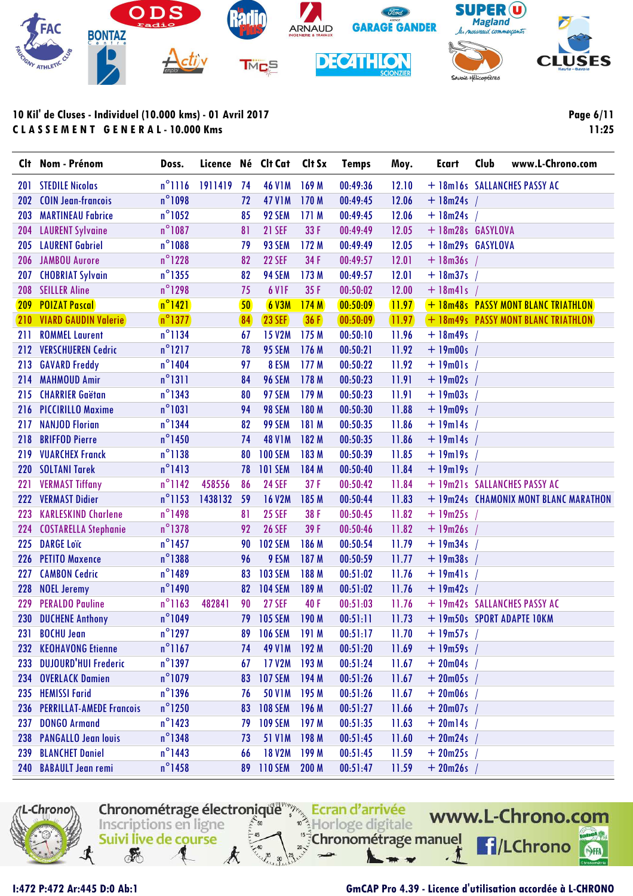

**Page 6/11 11:25**

| Clt        | Nom - Prénom                    | Doss.            |         |    | Licence Né Clt Cat | Clt Sx           | <b>Temps</b> | Moy.    | <b>Ecart</b>       | Club<br>www.L-Chrono.com              |
|------------|---------------------------------|------------------|---------|----|--------------------|------------------|--------------|---------|--------------------|---------------------------------------|
| 201        | <b>STEDILE Nicolas</b>          | $n^{\circ}$ 1116 | 1911419 | 74 | <b>46 V1M</b>      | 169 <sub>M</sub> | 00:49:36     | 12.10   |                    | + 18m16s SALLANCHES PASSY AC          |
| 202        | <b>COIN Jean-francois</b>       | $n^{\circ}$ 1098 |         | 72 | <b>47 V1M</b>      | 170 <sub>M</sub> | 00:49:45     | 12.06   | $+ 18m24s$         |                                       |
| 203        | <b>MARTINEAU Fabrice</b>        | $n^{\circ}$ 1052 |         | 85 | 92 SEM             | 171M             | 00:49:45     | 12.06   | $+ 18m24s$         |                                       |
| 204        | <b>LAURENT Sylvaine</b>         | $n^{\circ}$ 1087 |         | 81 | <b>21 SEF</b>      | 33 F             | 00:49:49     | 12.05   | + 18m28s GASYLOVA  |                                       |
| 205        | <b>LAURENT Gabriel</b>          | $n^{\circ}$ 1088 |         | 79 | 93 SEM             | 172M             | 00:49:49     | 12.05   |                    | +18m29s GASYLOVA                      |
| 206        | <b>JAMBOU Aurore</b>            | $n^{\circ}$ 1228 |         | 82 | <b>22 SEF</b>      | 34 F             | 00:49:57     | 12.01   | $+ 18m36s$         |                                       |
| 207        | <b>CHOBRIAT Sylvain</b>         | $n^{\circ}$ 1355 |         | 82 | 94 SEM             | 173 M            | 00:49:57     | 12.01   | $+ 18m37s$         |                                       |
| 208        | <b>SEILLER Aline</b>            | $n^{\circ}$ 1298 |         | 75 | 6 V <sub>1</sub> F | 35F              | 00:50:02     | 12.00   | $+$ 18 $m41s$      |                                       |
| <b>209</b> | <b>POIZAT Pascal</b>            | $n^{\circ}$ 1421 |         | 50 | 6 V3M              | 174M             | 00:50:09     | [11.97] |                    | + 18m48s PASSY MONT BLANC TRIATHLON   |
|            | <b>210 VIARD GAUDIN Valerie</b> | $n^{\circ}1377$  |         | 84 | <b>23 SEF</b>      | 36 F             | (00:50:09)   | (11.97) |                    | + 18m49s PASSY MONT BLANC TRIATHLON   |
| 211        | <b>ROMMEL Laurent</b>           | $n^{\circ}$ 1134 |         | 67 | <b>15 V2M</b>      | 175M             | 00:50:10     | 11.96   | $+$ 18m49s         |                                       |
| 212        | <b>VERSCHUEREN Cedric</b>       | $n^{\circ}$ 1217 |         | 78 | <b>95 SEM</b>      | 176 M            | 00:50:21     | 11.92   | $+ 19 \text{m00s}$ |                                       |
| 213        | <b>GAVARD Freddy</b>            | $n^{\circ}$ 1404 |         | 97 | 8 ESM              | 177M             | 00:50:22     | 11.92   | $+$ 19m01s /       |                                       |
| 214        | <b>MAHMOUD Amir</b>             | $n^{\circ}1311$  |         | 84 | <b>96 SEM</b>      | 178 M            | 00:50:23     | 11.91   | $+$ 19m02s /       |                                       |
| 215        | <b>CHARRIER Gaëtan</b>          | $n^{\circ}$ 1343 |         | 80 | 97 SEM             | 179 M            | 00:50:23     | 11.91   | $+$ 19m03s /       |                                       |
| 216        | <b>PICCIRILLO Maxime</b>        | $n^{\circ}$ 1031 |         | 94 | 98 SEM             | 180 M            | 00:50:30     | 11.88   | $+ 19m09s$         |                                       |
| 217        | <b>NANJOD Florian</b>           | $n^{\circ}$ 1344 |         | 82 | 99 SEM             | 181 M            | 00:50:35     | 11.86   | $+19m14s$          |                                       |
| 218        | <b>BRIFFOD Pierre</b>           | $n^{\circ}$ 1450 |         | 74 | <b>48 V1M</b>      | 182 M            | 00:50:35     | 11.86   | $+$ 19m14s /       |                                       |
| 219        | <b>VUARCHEX Franck</b>          | $n^{\circ}$ 1138 |         | 80 | <b>100 SEM</b>     | 183 M            | 00:50:39     | 11.85   | $+$ 19m19s         |                                       |
| 220        | <b>SOLTANI Tarek</b>            | $n^{\circ}$ 1413 |         | 78 | <b>101 SEM</b>     | 184 M            | 00:50:40     | 11.84   | $+$ 19m19s /       |                                       |
| 221        | <b>VERMAST Tiffany</b>          | $n^{\circ}$ 1142 | 458556  | 86 | <b>24 SEF</b>      | 37F              | 00:50:42     | 11.84   |                    | + 19m21s SALLANCHES PASSY AC          |
| 222        | <b>VERMAST Didier</b>           | $n^{\circ}$ 1153 | 1438132 | 59 | <b>16 V2M</b>      | 185 M            | 00:50:44     | 11.83   |                    | + 19m24s CHAMONIX MONT BLANC MARATHON |
| 223        | <b>KARLESKIND Charlene</b>      | $n^{\circ}$ 1498 |         | 81 | <b>25 SEF</b>      | 38 F             | 00:50:45     | 11.82   | $+19m25s$          |                                       |
| 224        | <b>COSTARELLA Stephanie</b>     | $n^{\circ}$ 1378 |         | 92 | <b>26 SEF</b>      | 39 F             | 00:50:46     | 11.82   | $+ 19m26s$         |                                       |
| 225        | <b>DARGE Loïc</b>               | $n^{\circ}$ 1457 |         | 90 | <b>102 SEM</b>     | 186 M            | 00:50:54     | 11.79   | $+19m34s$          |                                       |
| <b>226</b> | <b>PETITO Maxence</b>           | $n^{\circ}$ 1388 |         | 96 | 9 ESM              | 187 M            | 00:50:59     | 11.77   | $+ 19m38s$         |                                       |
| 227        | <b>CAMBON Cedric</b>            | $n^{\circ}$ 1489 |         | 83 | <b>103 SEM</b>     | 188 M            | 00:51:02     | 11.76   | $+$ 19m41s /       |                                       |
| 228        | <b>NOEL Jeremy</b>              | $n^{\circ}$ 1490 |         | 82 | <b>104 SEM</b>     | 189 M            | 00:51:02     | 11.76   | $+19m42s$          |                                       |
| 229        | <b>PERALDO Pauline</b>          | $n^{\circ}1163$  | 482841  | 90 | <b>27 SEF</b>      | 40 F             | 00:51:03     | 11.76   |                    | + 19m42s SALLANCHES PASSY AC          |
| 230        | <b>DUCHENE Anthony</b>          | $n^{\circ}$ 1049 |         | 79 | <b>105 SEM</b>     | 190 M            | 00:51:11     | 11.73   |                    | + 19m50s SPORT ADAPTE 10KM            |
|            | 231 BOCHU Jean                  | $n^{\circ}$ 1297 |         | 89 | <b>106 SEM</b>     | 191 M            | 00:51:17     | 11.70   | $+ 19m57s$ /       |                                       |
|            | 232 KEOHAVONG Etienne           | $n^{\circ}$ 1167 |         | 74 | 49 V1M 192 M       |                  | 00:51:20     | 11.69   | $+ 19m59s$         |                                       |
|            | 233 DUJOURD'HUI Frederic        | $n^{\circ}$ 1397 |         | 67 | 17 V2M             | 193M             | 00:51:24     | 11.67   | $+20m04s$          |                                       |
|            | 234 OVERLACK Damien             | $n^{\circ}$ 1079 |         | 83 | <b>107 SEM</b>     | 194 M            | 00:51:26     | 11.67   | $+ 20m05s$         |                                       |
|            | 235 HEMISSI Farid               | $n^{\circ}$ 1396 |         | 76 | <b>50 V1M</b>      | 195 M            | 00:51:26     | 11.67   | $+20m06s$          |                                       |
|            | 236 PERRILLAT-AMEDE Francois    | $n^{\circ}$ 1250 |         | 83 | <b>108 SEM</b>     | 196 M            | 00:51:27     | 11.66   | $+ 20m07s$         |                                       |
| 237        | <b>DONGO Armand</b>             | $n^{\circ}$ 1423 |         | 79 | <b>109 SEM</b>     | 197M             | 00:51:35     | 11.63   | $+20$ ml4s         |                                       |
| 238        | <b>PANGALLO Jean louis</b>      | $n^{\circ}$ 1348 |         | 73 | <b>51 V1M</b>      | 198 M            | 00:51:45     | 11.60   | $+20m24s$          |                                       |
| 239        | <b>BLANCHET Daniel</b>          | $n^{\circ}$ 1443 |         | 66 | <b>18 V2M</b>      | 199 M            | 00:51:45     | 11.59   | $+20m25s$          |                                       |
|            | 240 BABAULT Jean remi           | $n^{\circ}$ 1458 |         | 89 | <b>110 SEM</b>     | 200 <sub>M</sub> | 00:51:47     | 11.59   | $+20m26s$          |                                       |



### **I:472 P:472 Ar:445 D:0 Ab:1 GmCAP Pro 4.39 - Licence d'utilisation accordée à L-CHRONO**

SHA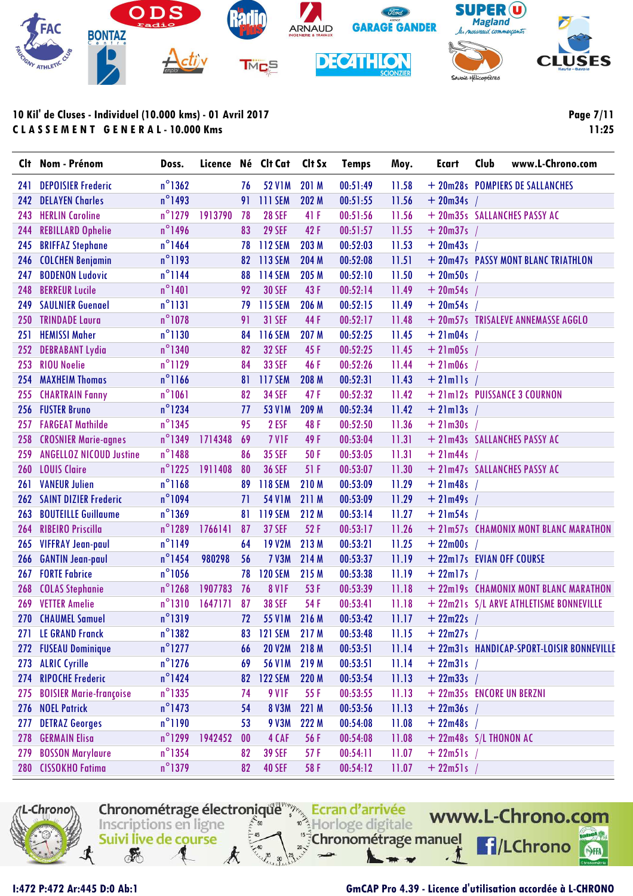

| <b>CIt</b> | Nom - Prénom                   | Doss.            | Licence |                   | Né Clt Cat        | Clt Sx | <b>Temps</b> | Moy.  | Ecart                     | Club | www.L-Chrono.com                          |
|------------|--------------------------------|------------------|---------|-------------------|-------------------|--------|--------------|-------|---------------------------|------|-------------------------------------------|
| 241        | <b>DEPOISIER Frederic</b>      | $n^{\circ}$ 1362 |         | 76                | <b>52 V1M</b>     | 201 M  | 00:51:49     | 11.58 |                           |      | + 20m28s POMPIERS DE SALLANCHES           |
| 242        | <b>DELAYEN Charles</b>         | $n^{\circ}$ 1493 |         | 91                | <b>111 SEM</b>    | 202 M  | 00:51:55     | 11.56 | $+20m34s$                 |      |                                           |
| 243        | <b>HERLIN Caroline</b>         | $n^{\circ}$ 1279 | 1913790 | 78                | <b>28 SEF</b>     | 41 F   | 00:51:56     | 11.56 |                           |      | + 20m35s SALLANCHES PASSY AC              |
| 244        | <b>REBILLARD Ophelie</b>       | $n^{\circ}$ 1496 |         | 83                | <b>29 SEF</b>     | 42F    | 00:51:57     | 11.55 | $+20m37s$                 |      |                                           |
| 245        | <b>BRIFFAZ Stephane</b>        | $n^{\circ}$ 1464 |         |                   | 78 112 SEM        | 203 M  | 00:52:03     | 11.53 | $+20m43s$                 |      |                                           |
| 246        | <b>COLCHEN Benjamin</b>        | $n^{\circ}$ 1193 |         | 82                | 113 SEM           | 204 M  | 00:52:08     | 11.51 |                           |      | + 20m47s PASSY MONT BLANC TRIATHLON       |
| 247        | <b>BODENON Ludovic</b>         | $n^{\circ}$ 1144 |         | 88                | <b>114 SEM</b>    | 205 M  | 00:52:10     | 11.50 | $+20m50s$                 |      |                                           |
| 248        | <b>BERREUR Lucile</b>          | $n^{\circ}$ 1401 |         | 92                | <b>30 SEF</b>     | 43F    | 00:52:14     | 11.49 | $+ 20m54s$                |      |                                           |
| 249        | <b>SAULNIER Guenael</b>        | $n^{\circ}$ 1131 |         | 79                | <b>115 SEM</b>    | 206 M  | 00:52:15     | 11.49 | $+20m54s$                 |      |                                           |
| <b>250</b> | <b>TRINDADE Laura</b>          | $n^{\circ}$ 1078 |         | 91                | <b>31 SEF</b>     | 44 F   | 00:52:17     | 11.48 |                           |      | + 20m57s TRISALEVE ANNEMASSE AGGLO        |
| 251        | <b>HEMISSI Maher</b>           | $n^{\circ}$ 1130 |         | 84                | <b>116 SEM</b>    | 207 M  | 00:52:25     | 11.45 | $+21m04s$                 |      |                                           |
| 252        | <b>DEBRABANT Lydia</b>         | $n^{\circ}$ 1340 |         | 82                | <b>32 SEF</b>     | 45 F   | 00:52:25     | 11.45 | $+21m05s$ /               |      |                                           |
| 253        | <b>RIOU Noelie</b>             | $n^{\circ}$ 1129 |         | 84                | <b>33 SEF</b>     | 46 F   | 00:52:26     | 11.44 | $+21m06s$                 |      |                                           |
| 254        | <b>MAXHEIM Thomas</b>          | $n^{\circ}$ 1166 |         | 81                | <b>117 SEM</b>    | 208 M  | 00:52:31     | 11.43 | $+$ 21m11s /              |      |                                           |
| 255        | <b>CHARTRAIN Fanny</b>         | $n^{\circ}1061$  |         | 82                | <b>34 SEF</b>     | 47F    | 00:52:32     | 11.42 |                           |      | + 21m12s PUISSANCE 3 COURNON              |
|            | 256 FUSTER Bruno               | $n^{\circ}$ 1234 |         | 77                | <b>53 V1M</b>     | 209 M  | 00:52:34     | 11.42 | $+2$ lm $3s$              |      |                                           |
| 257        | <b>FARGEAT Mathilde</b>        | $n^{\circ}$ 1345 |         | 95                | 2 ESF             | 48 F   | 00:52:50     | 11.36 | $+21m30s$                 |      |                                           |
| 258        | <b>CROSNIER Marie-agnes</b>    | $n^{\circ}$ 1349 | 1714348 | 69                | 7 V <sub>IF</sub> | 49F    | 00:53:04     | 11.31 |                           |      | + 21m43s SALLANCHES PASSY AC              |
| 259        | <b>ANGELLOZ NICOUD Justine</b> | $n^{\circ}$ 1488 |         | 86                | <b>35 SEF</b>     | 50 F   | 00:53:05     | 11.31 | $+21m44s$                 |      |                                           |
| 260        | <b>LOUIS Claire</b>            | $n^{\circ}$ 1225 | 1911408 | 80                | <b>36 SEF</b>     | 51 F   | 00:53:07     | 11.30 |                           |      | + 21m47s SALLANCHES PASSY AC              |
| 261        | <b>VANEUR Julien</b>           | $n^{\circ}$ 1168 |         | 89                | <b>118 SEM</b>    | 210M   | 00:53:09     | 11.29 | $+21m48s$                 |      |                                           |
| 262        | <b>SAINT DIZIER Frederic</b>   | $n^{\circ}$ 1094 |         | 71                | <b>54 V1M</b>     | 211 M  | 00:53:09     | 11.29 | $+21m49s$                 |      |                                           |
| 263        | <b>BOUTEILLE Guillaume</b>     | $n^{\circ}$ 1369 |         | 81                | <b>119 SEM</b>    | 212 M  | 00:53:14     | 11.27 | $+21m54s$                 |      |                                           |
| 264        | <b>RIBEIRO Priscilla</b>       | $n^{\circ}$ 1289 | 1766141 | 87                | <b>37 SEF</b>     | 52 F   | 00:53:17     | 11.26 |                           |      | + 21m57s CHAMONIX MONT BLANC MARATHON     |
| 265        | <b>VIFFRAY Jean-paul</b>       | $n^{\circ}$ 1149 |         | 64                | <b>19 V2M</b>     | 213 M  | 00:53:21     | 11.25 | $+22m00s$                 |      |                                           |
| 266        | <b>GANTIN Jean-paul</b>        | $n^{\circ}$ 1454 | 980298  | 56                | <b>7 V3M</b>      | 214 M  | 00:53:37     | 11.19 | + 22m17s EVIAN OFF COURSE |      |                                           |
| 267        | <b>FORTE Fabrice</b>           | $n^{\circ}$ 1056 |         | 78                | <b>120 SEM</b>    | 215 M  | 00:53:38     | 11.19 | $+ 22$ ml7s /             |      |                                           |
| 268        | <b>COLAS Stephanie</b>         | $n^{\circ}$ 1268 | 1907783 | 76                | <b>8 V1F</b>      | 53 F   | 00:53:39     | 11.18 |                           |      | + 22m19s CHAMONIX MONT BLANC MARATHON     |
| 269        | <b>VETTER Amelie</b>           | $n^{\circ}$ 1310 | 1647171 | 87                | <b>38 SEF</b>     | 54 F   | 00:53:41     | 11.18 |                           |      | + 22m21s S/L ARVE ATHLETISME BONNEVILLE   |
|            | 270 CHAUMEL Samuel             | $n^{\circ}$ 1319 |         | 72                | <b>55 V1M</b>     | 216 M  | 00:53:42     | 11.17 | $+ 22m22s$ /              |      |                                           |
| 271        | <b>LE GRAND Franck</b>         | $n^{\circ}$ 1382 |         | 83                | <b>121 SEM</b>    | 217 M  | 00:53:48     | 11.15 | $+22m27s$ /               |      |                                           |
|            | 272 FUSEAU Dominique           | $n^{\circ}$ 1277 |         | 66                | 20 V2M 218 M      |        | 00:53:51     | 11.14 |                           |      | + 22m31s HANDICAP-SPORT-LOISIR BONNEVILLE |
| 273        | <b>ALRIC Cyrille</b>           | $n^{\circ}$ 1276 |         | 69                | <b>56 V1M</b>     | 219 M  | 00:53:51     | 11.14 | $+22m31s$                 |      |                                           |
| 274        | <b>RIPOCHE Frederic</b>        | $n^{\circ}$ 1424 |         | 82                | <b>122 SEM</b>    | 220 M  | 00:53:54     | 11.13 | $+ 22m33s$ /              |      |                                           |
| 275        | <b>BOISIER Marie-françoise</b> | $n^{\circ}$ 1335 |         | 74                | 9 VIF             | 55 F   | 00:53:55     | 11.13 | + 22m35s ENCORE UN BERZNI |      |                                           |
| 276        | <b>NOEL Patrick</b>            | $n^{\circ}$ 1473 |         | 54                | 8 V3M             | 221 M  | 00:53:56     | 11.13 | $+22m36s$                 |      |                                           |
| 277        | <b>DETRAZ Georges</b>          | $n^{\circ}$ 1190 |         | 53                | <b>9 V3M</b>      | 222 M  | 00:54:08     | 11.08 | $+22m48s$                 |      |                                           |
| 278        | <b>GERMAIN Elisa</b>           | $n^{\circ}$ 1299 | 1942452 | $\boldsymbol{00}$ | 4 CAF             | 56 F   | 00:54:08     | 11.08 | + 22m48s S/L THONON AC    |      |                                           |
| 279        | <b>BOSSON Marylaure</b>        | $n^{\circ}$ 1354 |         | 82                | <b>39 SEF</b>     | 57 F   | 00:54:11     | 11.07 | $+22m51s$                 |      |                                           |
|            | 280 CISSOKHO Fatima            | $n^{\circ}$ 1379 |         | 82                | <b>40 SEF</b>     | 58 F   | 00:54:12     | 11.07 | $+ 22m51s$ /              |      |                                           |

Chronométrage électronique ",">>> Ecran d'arrivée

 $\approx 50$ 

Inscriptions en ligne

Suivi live de course

**REA** 

Horloge digitale

Chronométrage manuel



I:472 P:472 Ar:445 D:0 Ab:1

GmCAP Pro 4.39 - Licence d'utilisation accordée à L-CHRONO

www.L-Chrono.com

**f**/LChrono

SHA

Page 7/11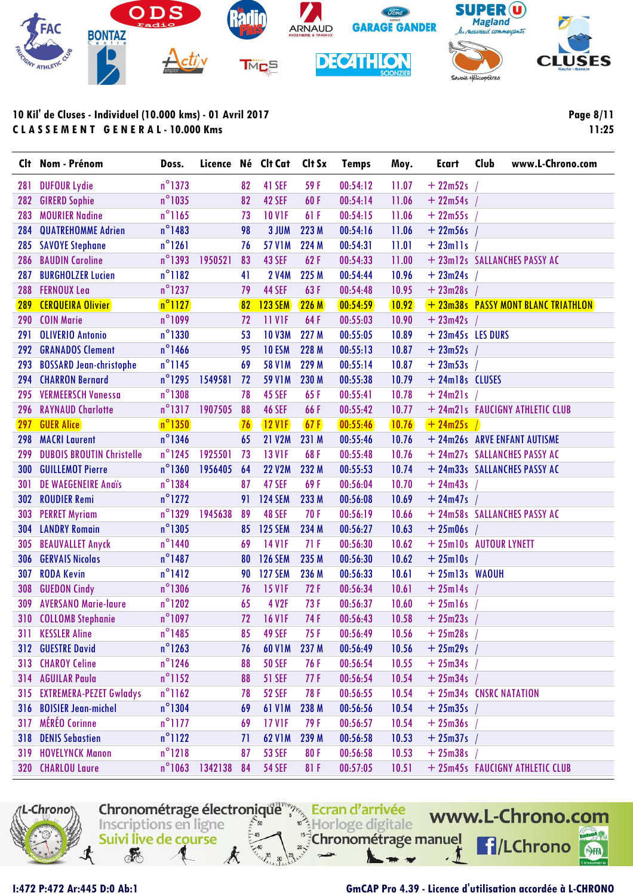

**Page 8/11 11:25**

| Clt        | Nom - Prénom                     | Doss.            | Licence Né Clt Cat |    |                   | Clt Sx | <b>Temps</b> | Moy.  | <b>Ecart</b>      | Club<br>www.L-Chrono.com            |
|------------|----------------------------------|------------------|--------------------|----|-------------------|--------|--------------|-------|-------------------|-------------------------------------|
| 281        | <b>DUFOUR Lydie</b>              | $n^{\circ}$ 1373 |                    | 82 | 41 SEF            | 59 F   | 00:54:12     | 11.07 | $+22m52s$         |                                     |
| 282        | <b>GIRERD Sophie</b>             | $n^{\circ}$ 1035 |                    | 82 | 42 SEF            | 60F    | 00:54:14     | 11.06 | $+22m54s$         |                                     |
| 283        | <b>MOURIER Nadine</b>            | $n^{\circ}1165$  |                    | 73 | <b>10 V1F</b>     | 61 F   | 00:54:15     | 11.06 | $+22m55s$         |                                     |
| 284        | <b>QUATREHOMME Adrien</b>        | $n^{\circ}$ 1483 |                    | 98 | 3 JUM             | 223 M  | 00:54:16     | 11.06 | $+22m56s$         |                                     |
| 285        | <b>SAVOYE Stephane</b>           | $n^{\circ}1261$  |                    | 76 | <b>57 V1M</b>     | 224 M  | 00:54:31     | 11.01 | $+ 23$ mlls       |                                     |
| 286        | <b>BAUDIN Caroline</b>           | $n^{\circ}$ 1393 | 1950521            | 83 | <b>43 SEF</b>     | 62F    | 00:54:33     | 11.00 |                   | + 23m12s SALLANCHES PASSY AC        |
| 287        | <b>BURGHOLZER Lucien</b>         | $n^{\circ}1182$  |                    | 41 | <b>2 V4M</b>      | 225 M  | 00:54:44     | 10.96 | $+23m24s$         |                                     |
| 288        | <b>FERNOUX Lea</b>               | $n^{\circ}$ 1237 |                    | 79 | <b>44 SEF</b>     | 63F    | 00:54:48     | 10.95 | $+23m28s$         |                                     |
| 289        | <b>CERQUEIRA Olivier</b>         | $n^{\circ}1127$  |                    | 82 | <b>123 SEM</b>    | 226M   | 00:54:59     | 10.92 |                   | + 23m38s PASSY MONT BLANC TRIATHLON |
| 290        | <b>COIN Marie</b>                | n°1099           |                    | 72 | 11 VIF            | 64F    | 00:55:03     | 10.90 | $+ 23m42s$ /      |                                     |
| 291        | <b>OLIVERIO Antonio</b>          | $n^{\circ}$ 1330 |                    | 53 | <b>10 V3M</b>     | 227 M  | 00:55:05     | 10.89 | + 23m45s LES DURS |                                     |
| 292        | <b>GRANADOS Clement</b>          | $n^{\circ}$ 1466 |                    | 95 | 10 <sub>ESM</sub> | 228 M  | 00:55:13     | 10.87 | $+ 23m52s$ /      |                                     |
| 293        | <b>BOSSARD Jean-christophe</b>   | $n^{\circ}$ 1145 |                    | 69 | <b>58 V1M</b>     | 229 M  | 00:55:14     | 10.87 | $+23m53s$         |                                     |
| 294        | <b>CHARRON Bernard</b>           | $n^{\circ}$ 1295 | 1549581            | 72 | <b>59 V1M</b>     | 230 M  | 00:55:38     | 10.79 | + 24m18s CLUSES   |                                     |
| 295        | <b>VERMEERSCH Vanessa</b>        | $n^{\circ}$ 1308 |                    | 78 | <b>45 SEF</b>     | 65F    | 00:55:41     | 10.78 | $+ 24m21s$        |                                     |
| 296        | <b>RAYNAUD Charlotte</b>         | $n^{\circ}$ 1317 | 1907505            | 88 | <b>46 SEF</b>     | 66F    | 00:55:42     | 10.77 |                   | + 24m21s FAUCIGNY ATHLETIC CLUB     |
| 297        | <b>GUER Alice</b>                | $n^{\circ}$ 1350 |                    | 76 | $12$ VIF          | 67F    | 00:55:46     | 10.76 | $+ 24m25s$ /      |                                     |
| 298        | <b>MACRI Laurent</b>             | $n^{\circ}$ 1346 |                    | 65 | <b>21 V2M</b>     | 231 M  | 00:55:46     | 10.76 |                   | + 24m26s ARVE ENFANT AUTISME        |
| 299        | <b>DUBOIS BROUTIN Christelle</b> | $n^{\circ}$ 1245 | 1925501            | 73 | <b>13 V1F</b>     | 68F    | 00:55:48     | 10.76 |                   | + 24m27s SALLANCHES PASSY AC        |
| <b>300</b> | <b>GUILLEMOT Pierre</b>          | $n^{\circ}$ 1360 | 1956405            | 64 | <b>22 V2M</b>     | 232 M  | 00:55:53     | 10.74 |                   | + 24m33s SALLANCHES PASSY AC        |
| 301        | DE WAEGENEIRE Andis              | $n^{\circ}$ 1384 |                    | 87 | <b>47 SEF</b>     | 69F    | 00:56:04     | 10.70 | $+ 24m43s$        |                                     |
| 302        | <b>ROUDIER Remi</b>              | $n^{\circ}$ 1272 |                    | 91 | <b>124 SEM</b>    | 233 M  | 00:56:08     | 10.69 | $+ 24m47s$ /      |                                     |
| 303        | <b>PERRET Myriam</b>             | $n^{\circ}$ 1329 | 1945638            | 89 | 48 SEF            | 70F    | 00:56:19     | 10.66 |                   | + 24m58s SALLANCHES PASSY AC        |
| 304        | <b>LANDRY Romain</b>             | $n^{\circ}$ 1305 |                    | 85 | <b>125 SEM</b>    | 234 M  | 00:56:27     | 10.63 | $+25m06s$         |                                     |
| 305        | <b>BEAUVALLET Anyck</b>          | $n^{\circ}$ 1440 |                    | 69 | <b>14 V1F</b>     | 71F    | 00:56:30     | 10.62 |                   | + 25m10s AUTOUR LYNETT              |
| 306        | <b>GERVAIS Nicolas</b>           | $n^{\circ}$ 1487 |                    | 80 | <b>126 SEM</b>    | 235 M  | 00:56:30     | 10.62 | $+25$ ml0s /      |                                     |
| 307        | <b>RODA Kevin</b>                | $n^{\circ}$ 1412 |                    | 90 | <b>127 SEM</b>    | 236 M  | 00:56:33     | 10.61 | $+25m13s$ WAOUH   |                                     |
| 308        | <b>GUEDON Cindy</b>              | $n^{\circ}$ 1306 |                    | 76 | <b>15 VIF</b>     | 72F    | 00:56:34     | 10.61 | $+25$ ml4s        |                                     |
| 309        | <b>AVERSANO Marie-laure</b>      | $n^{\circ}$ 1202 |                    | 65 | 4 V2F             | 73 F   | 00:56:37     | 10.60 | $+25$ ml6s /      |                                     |
| 310        | <b>COLLOMB Stephanie</b>         | $n^{\circ}$ 1097 |                    | 72 | <b>16 V1F</b>     | 74F    | 00:56:43     | 10.58 | $+ 25m23s$        |                                     |
|            | 311 KESSLER Aline                | $n^{\circ}$ 1485 |                    | 85 | <b>49 SEF</b>     | 75 F   | 00:56:49     | 10.56 | $+25m28s$ /       |                                     |
|            | 312 GUESTRE David                | $n^{\circ}$ 1263 |                    | 76 | <b>60 V1M</b>     | 237 M  | 00:56:49     | 10.56 | $+25m29s$         |                                     |
|            | 313 CHAROY Celine                | $n^{\circ}$ 1246 |                    | 88 | <b>50 SEF</b>     | 76 F   | 00:56:54     | 10.55 | $+ 25m34s$        |                                     |
|            | 314 AGUILAR Paula                | $n^{\circ}$ 1152 |                    | 88 | <b>51 SEF</b>     | 77F    | 00:56:54     | 10.54 | $+ 25m34s$ /      |                                     |
|            | 315 EXTREMERA-PEZET Gwladys      | $n^{\circ}$ 1162 |                    | 78 | <b>52 SEF</b>     | 78 F   | 00:56:55     | 10.54 |                   | + 25m34s CNSRC NATATION             |
|            | 316 BOISIER Jean-michel          | $n^{\circ}$ 1304 |                    | 69 | <b>61 V1M</b>     | 238 M  | 00:56:56     | 10.54 | $+25m35s$ /       |                                     |
|            | 317 MÉRÉO Corinne                | $n^{\circ}$ 1177 |                    | 69 | 17 V1F            | 79 F   | 00:56:57     | 10.54 | $+25m36s$         |                                     |
|            | 318 DENIS Sebastien              | $n^{\circ}1122$  |                    | 71 | <b>62 V1M</b>     | 239 M  | 00:56:58     | 10.53 | $+25m37s$         |                                     |
|            | <b>319 HOVELYNCK Manon</b>       | $n^{\circ}$ 1218 |                    | 87 | <b>53 SEF</b>     | 80 F   | 00:56:58     | 10.53 | $+25m38s$         |                                     |
|            | 320 CHARLOU Laure                | $n^{\circ}$ 1063 | 1342138            | 84 | <b>54 SEF</b>     | 81 F   | 00:57:05     | 10.51 |                   | + 25m45s FAUCIGNY ATHLETIC CLUB     |



### **I:472 P:472 Ar:445 D:0 Ab:1 GmCAP Pro 4.39 - Licence d'utilisation accordée à L-CHRONO**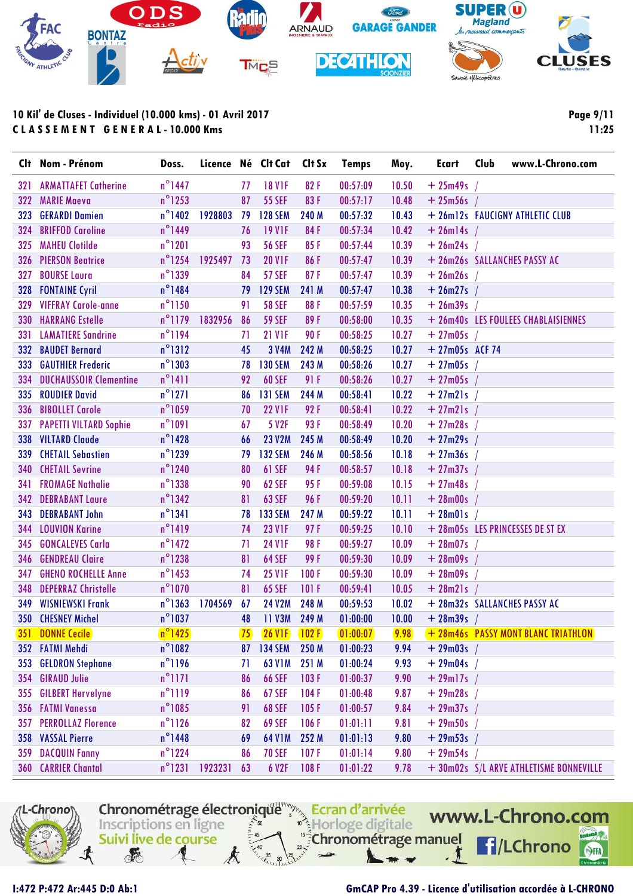

|     | Clt Nom - Prénom               | Doss.            | Licence Né Clt Cat |    |                        | Clt Sx | <b>Temps</b> | Moy.  | <b>Ecart</b>     | Club<br>www.L-Chrono.com                |
|-----|--------------------------------|------------------|--------------------|----|------------------------|--------|--------------|-------|------------------|-----------------------------------------|
| 321 | <b>ARMATTAFET Catherine</b>    | $n^{\circ}$ 1447 |                    | 77 | <b>18 VIF</b>          | 82F    | 00:57:09     | 10.50 | $+25m49s$        |                                         |
| 322 | <b>MARIE Maeva</b>             | $n^{\circ}$ 1253 |                    | 87 | <b>55 SEF</b>          | 83F    | 00:57:17     | 10.48 | $+25m56s$        |                                         |
| 323 | <b>GERARDI Damien</b>          | $n^{\circ}$ 1402 | 1928803            | 79 | <b>128 SEM</b>         | 240 M  | 00:57:32     | 10.43 |                  | + 26m12s FAUCIGNY ATHLETIC CLUB         |
| 324 | <b>BRIFFOD Caroline</b>        | $n^{\circ}$ 1449 |                    | 76 | <b>19 V1F</b>          | 84F    | 00:57:34     | 10.42 | $+ 26$ ml4s /    |                                         |
| 325 | <b>MAHEU Clotilde</b>          | $n^{\circ}$ 1201 |                    | 93 | <b>56 SEF</b>          | 85F    | 00:57:44     | 10.39 | $+ 26m24s$ /     |                                         |
| 326 | <b>PIERSON Beatrice</b>        | $n^{\circ}$ 1254 | 1925497            | 73 | <b>20 V1F</b>          | 86F    | 00:57:47     | 10.39 |                  | + 26m26s SALLANCHES PASSY AC            |
| 327 | <b>BOURSE Laura</b>            | $n^{\circ}$ 1339 |                    | 84 | <b>57 SEF</b>          | 87F    | 00:57:47     | 10.39 | $+26m26s$ /      |                                         |
| 328 | <b>FONTAINE Cyril</b>          | $n^{\circ}$ 1484 |                    | 79 | <b>129 SEM</b>         | 241 M  | 00:57:47     | 10.38 | $+ 26m27s$       |                                         |
|     | 329 VIFFRAY Carole-anne        | $n^{\circ}$ 1150 |                    | 91 | <b>58 SEF</b>          | 88F    | 00:57:59     | 10.35 | $+ 26m39s$       |                                         |
|     | <b>330 HARRANG Estelle</b>     | $n^{\circ}$ 1179 | 1832956            | 86 | <b>59 SEF</b>          | 89F    | 00:58:00     | 10.35 |                  | + 26m40s LES FOULEES CHABLAISIENNES     |
| 331 | <b>LAMATIERE Sandrine</b>      | $n^{\circ}$ 1194 |                    | 71 | <b>21 V1F</b>          | 90F    | 00:58:25     | 10.27 | $+ 27m05s$ /     |                                         |
|     | 332 BAUDET Bernard             | $n^{\circ}$ 1312 |                    | 45 | 3 V4M                  | 242 M  | 00:58:25     | 10.27 | $+27m05s$ ACF 74 |                                         |
| 333 | <b>GAUTHIER Frederic</b>       | $n^{\circ}$ 1303 |                    | 78 | <b>130 SEM</b>         | 243 M  | 00:58:26     | 10.27 | $+27m05s$ /      |                                         |
| 334 | <b>DUCHAUSSOIR Clementine</b>  | $n^{\circ}1411$  |                    | 92 | <b>60 SEF</b>          | 91F    | 00:58:26     | 10.27 | $+ 27m05s$       |                                         |
| 335 | <b>ROUDIER David</b>           | $n^{\circ}$ 1271 |                    | 86 | <b>131 SEM</b>         | 244 M  | 00:58:41     | 10.22 | $+27m21s$        |                                         |
| 336 | <b>BIBOLLET Carole</b>         | $n^{\circ}$ 1059 |                    | 70 | <b>22 V1F</b>          | 92 F   | 00:58:41     | 10.22 | $+ 27m21s$       |                                         |
| 337 | <b>PAPETTI VILTARD Sophie</b>  | $n^{\circ}1091$  |                    | 67 | 5 V2F                  | 93F    | 00:58:49     | 10.20 | $+27m28s$        |                                         |
|     | 338 VILTARD Claude             | $n^{\circ}$ 1428 |                    | 66 | <b>23 V2M</b>          | 245 M  | 00:58:49     | 10.20 | $+27m29s$        |                                         |
| 339 | <b>CHETAIL Sebastien</b>       | $n^{\circ}$ 1239 |                    | 79 | <b>132 SEM</b>         | 246 M  | 00:58:56     | 10.18 | $+27m36s$        |                                         |
| 340 | <b>CHETAIL Sevrine</b>         | $n^{\circ}$ 1240 |                    | 80 | <b>61 SEF</b>          | 94 F   | 00:58:57     | 10.18 | $+27m37s$ /      |                                         |
| 341 | <b>FROMAGE Nathalie</b>        | $n^{\circ}$ 1338 |                    | 90 | <b>62 SEF</b>          | 95F    | 00:59:08     | 10.15 | $+ 27m48s$       |                                         |
|     | <b>342 DEBRABANT Laure</b>     | $n^{\circ}$ 1342 |                    | 81 | <b>63 SEF</b>          | 96 F   | 00:59:20     | 10.11 | $+28m00s$        |                                         |
| 343 | <b>DEBRABANT John</b>          | $n^{\circ}$ 1341 |                    | 78 | <b>133 SEM</b>         | 247 M  | 00:59:22     | 10.11 | $+28m01s$        |                                         |
|     | 344 LOUVION Karine             | $n^{\circ}$ 1419 |                    | 74 | <b>23 V1F</b>          | 97F    | 00:59:25     | 10.10 |                  | + 28m05s LES PRINCESSES DE ST EX        |
| 345 | <b>GONCALEVES Carla</b>        | $n^{\circ}$ 1472 |                    | 71 | <b>24 V1F</b>          | 98 F   | 00:59:27     | 10.09 | $+ 28m07s$       |                                         |
|     | <b>346 GENDREAU Claire</b>     | $n^{\circ}$ 1238 |                    | 81 | <b>64 SEF</b>          | 99 F   | 00:59:30     | 10.09 | $+ 28m09s$       |                                         |
|     | <b>347 GHENO ROCHELLE Anne</b> | $n^{\circ}$ 1453 |                    | 74 | <b>25 V1F</b>          | 100F   | 00:59:30     | 10.09 | $+ 28m09s$       |                                         |
| 348 | <b>DEPERRAZ Christelle</b>     | $n^{\circ}$ 1070 |                    | 81 | <b>65 SEF</b>          | 101 F  | 00:59:41     | 10.05 | $+$ 28m21s /     |                                         |
| 349 | <b>WISNIEWSKI Frank</b>        | $n^{\circ}$ 1363 | 1704569            | 67 | <b>24 V2M</b>          | 248 M  | 00:59:53     | 10.02 |                  | + 28m32s SALLANCHES PASSY AC            |
|     | 350 CHESNEY Michel             | $n^{\circ}$ 1037 |                    | 48 | 11 V3M                 | 249 M  | 01:00:00     | 10.00 | $+ 28m39s$       |                                         |
|     | <b>351 DONNE Cecile</b>        | $n^{\circ}$ 1425 |                    |    | <b>75</b> 26 VIF 102 F |        | [01:00:07]   | 9.98  |                  | +28m46s PASSY MONT BLANC TRIATHLON      |
|     | 352 FATMI Mehdi                | $n^{\circ}$ 1082 |                    |    | 87 134 SEM 250 M       |        | 01:00:23     | 9.94  | $+ 29m03s$ /     |                                         |
|     | 353 GELDRON Stephane           | $n^{\circ}$ 1196 |                    | 71 | <b>63 V1M</b>          | 251 M  | 01:00:24     | 9.93  | $+ 29m04s$       |                                         |
|     | 354 GIRAUD Julie               | $n^{\circ}$ 1171 |                    | 86 | <b>66 SEF</b>          | 103F   | 01:00:37     | 9.90  | $+ 29$ ml7s /    |                                         |
|     | 355 GILBERT Hervelyne          | $n^{\circ}$ 1119 |                    | 86 | <b>67 SEF</b>          | 104F   | 01:00:48     | 9.87  | $+29m28s$        |                                         |
|     | 356 FATMI Vanessa              | $n^{\circ}$ 1085 |                    | 91 | <b>68 SEF</b>          | 105F   | 01:00:57     | 9.84  | $+29m37s$        |                                         |
|     | <b>357 PERROLLAZ Florence</b>  | $n^{\circ}$ 1126 |                    | 82 | <b>69 SEF</b>          | 106F   | 01:01:11     | 9.81  | $+29m50s$        |                                         |
|     | 358 VASSAL Pierre              | $n^{\circ}$ 1448 |                    | 69 | 64 V1M                 | 252 M  | 01:01:13     | 9.80  | $+29m53s$        |                                         |
|     | <b>359 DACQUIN Fanny</b>       | $n^{\circ}$ 1224 |                    | 86 | <b>70 SEF</b>          | 107F   | 01:01:14     | 9.80  | $+29m54s$        |                                         |
|     | <b>360 CARRIER Chantal</b>     | $n^{\circ}$ 1231 | 1923231            | 63 | 6 V2F                  | 108F   | 01:01:22     | 9.78  |                  | + 30m02s S/L ARVE ATHLETISME BONNEVILLE |



I:472 P:472 Ar:445 D:0 Ab:1

### GmCAP Pro 4.39 - Licence d'utilisation accordée à L-CHRONO

Page 9/11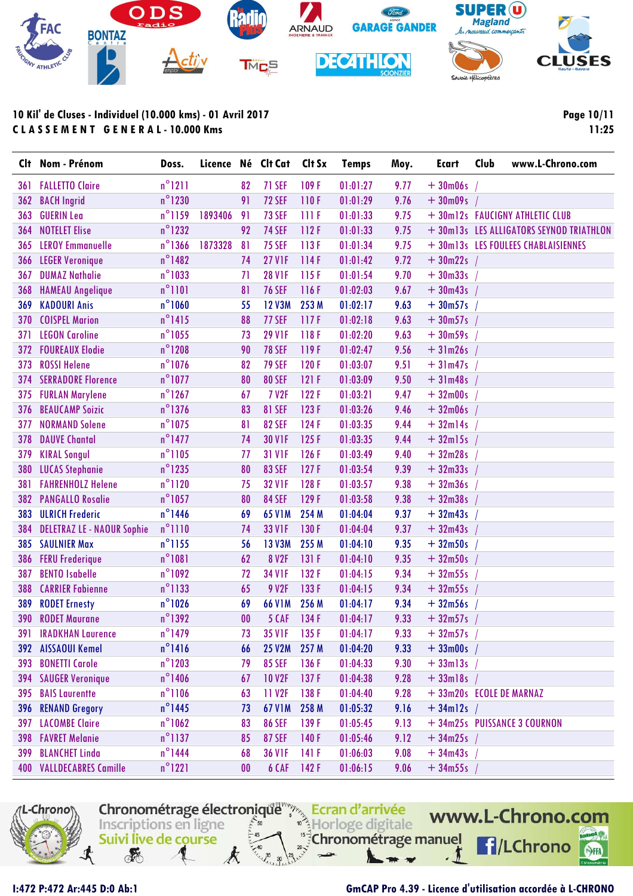

| Clt | Nom - Prénom                      | Doss.            |         |    | Licence Né Clt Cat | Clt Sx | <b>Temps</b> | Moy. | <b>Ecart</b>        | Club<br>www.L-Chrono.com                 |
|-----|-----------------------------------|------------------|---------|----|--------------------|--------|--------------|------|---------------------|------------------------------------------|
| 361 | <b>FALLETTO Claire</b>            | $n^{\circ}1211$  |         | 82 | <b>71 SEF</b>      | 109F   | 01:01:27     | 9.77 | $+30m06s$           |                                          |
| 362 | <b>BACH Ingrid</b>                | $n^{\circ}$ 1230 |         | 91 | <b>72 SEF</b>      | 110F   | 01:01:29     | 9.76 | $+30m09s$           |                                          |
| 363 | <b>GUERIN Lea</b>                 | $n^{\circ}$ 1159 | 1893406 | 91 | <b>73 SEF</b>      | 111F   | 01:01:33     | 9.75 |                     | + 30m12s FAUCIGNY ATHLETIC CLUB          |
| 364 | <b>NOTELET Elise</b>              | $n^{\circ}$ 1232 |         | 92 | <b>74 SEF</b>      | 112F   | 01:01:33     | 9.75 |                     | + 30m13s LES ALLIGATORS SEYNOD TRIATHLON |
| 365 | <b>LEROY Emmanuelle</b>           | $n^{\circ}$ 1366 | 1873328 | 81 | <b>75 SEF</b>      | 113F   | 01:01:34     | 9.75 |                     | + 30m13s LES FOULEES CHABLAISIENNES      |
| 366 | <b>LEGER Veronique</b>            | $n^{\circ}$ 1482 |         | 74 | <b>27 V1F</b>      | 114F   | 01:01:42     | 9.72 | $+30m22s$           |                                          |
| 367 | <b>DUMAZ Nathalie</b>             | $n^{\circ}$ 1033 |         | 71 | <b>28 V1F</b>      | 115F   | 01:01:54     | 9.70 | $+30m33s$           |                                          |
| 368 | <b>HAMEAU Angelique</b>           | $n^{\circ}1101$  |         | 81 | <b>76 SEF</b>      | 116F   | 01:02:03     | 9.67 | $+30m43s$ /         |                                          |
| 369 | <b>KADOURI Anis</b>               | $n^{\circ}1060$  |         | 55 | <b>12 V3M</b>      | 253 M  | 01:02:17     | 9.63 | $+30m57s$ /         |                                          |
| 370 | <b>COISPEL Marion</b>             | $n^{\circ}$ 1415 |         | 88 | <b>77 SEF</b>      | 117F   | 01:02:18     | 9.63 | $+30m57s$           |                                          |
| 371 | <b>LEGON Caroline</b>             | $n^{\circ}$ 1055 |         | 73 | <b>29 V1F</b>      | 118F   | 01:02:20     | 9.63 | $+30m59s$           |                                          |
| 372 | <b>FOUREAUX Elodie</b>            | $n^{\circ}$ 1208 |         | 90 | <b>78 SEF</b>      | 119F   | 01:02:47     | 9.56 | $+31m26s$           |                                          |
| 373 | <b>ROSSI Helene</b>               | $n^{\circ}$ 1076 |         | 82 | <b>79 SEF</b>      | 120F   | 01:03:07     | 9.51 | $+31m47s$           |                                          |
| 374 | <b>SERRADORE Florence</b>         | $n^{\circ}$ 1077 |         | 80 | <b>80 SEF</b>      | 121F   | 01:03:09     | 9.50 | $+31m48s$           |                                          |
| 375 | <b>FURLAN Marylene</b>            | $n^{\circ}$ 1267 |         | 67 | <b>7 V2F</b>       | 122F   | 01:03:21     | 9.47 | $+32m00s$           |                                          |
| 376 | <b>BEAUCAMP Soizic</b>            | $n^{\circ}$ 1376 |         | 83 | <b>81 SEF</b>      | 123F   | 01:03:26     | 9.46 | $+32m06s$           |                                          |
| 377 | <b>NORMAND Solene</b>             | $n^{\circ}$ 1075 |         | 81 | <b>82 SEF</b>      | 124F   | 01:03:35     | 9.44 | $+32$ ml4s          |                                          |
| 378 | <b>DAUVE Chantal</b>              | $n^{\circ}$ 1477 |         | 74 | <b>30 V1F</b>      | 125F   | 01:03:35     | 9.44 | $+32$ ml5s          |                                          |
| 379 | <b>KIRAL Songul</b>               | $n^{\circ}$ 1105 |         | 77 | <b>31 V1F</b>      | 126F   | 01:03:49     | 9.40 | $+32m28s$           |                                          |
| 380 | <b>LUCAS Stephanie</b>            | $n^{\circ}$ 1235 |         | 80 | <b>83 SEF</b>      | 127F   | 01:03:54     | 9.39 | $+32m33s$           |                                          |
| 381 | <b>FAHRENHOLZ Helene</b>          | $n^{\circ}1120$  |         | 75 | <b>32 V1F</b>      | 128F   | 01:03:57     | 9.38 | $+32m36s$           |                                          |
| 382 | <b>PANGALLO Rosalie</b>           | $n^{\circ}$ 1057 |         | 80 | <b>84 SEF</b>      | 129F   | 01:03:58     | 9.38 | $+32m38s$           |                                          |
| 383 | <b>ULRICH Frederic</b>            | $n^{\circ}$ 1446 |         | 69 | 65 V1M             | 254 M  | 01:04:04     | 9.37 | $+32m43s$           |                                          |
| 384 | <b>DELETRAZ LE - NAOUR Sophie</b> | $n^{\circ}$ 1110 |         | 74 | <b>33 V1F</b>      | 130 F  | 01:04:04     | 9.37 | $+32m43s$           |                                          |
| 385 | <b>SAULNIER Max</b>               | $n^{\circ}$ 1155 |         | 56 | 13 V3M             | 255 M  | 01:04:10     | 9.35 | $+32m50s$           |                                          |
| 386 | <b>FERU Frederique</b>            | $n^{\circ}1081$  |         | 62 | <b>8 V2F</b>       | 131 F  | 01:04:10     | 9.35 | $+32m50s$           |                                          |
| 387 | <b>BENTO Isabelle</b>             | $n^{\circ}1092$  |         | 72 | <b>34 V1F</b>      | 132 F  | 01:04:15     | 9.34 | $+32m55s$           |                                          |
| 388 | <b>CARRIER Fabienne</b>           | $n^{\circ}$ 1133 |         | 65 | 9 V2F              | 133 F  | 01:04:15     | 9.34 | $+32m55s$           |                                          |
| 389 | <b>RODET Ernesty</b>              | $n^{\circ}1026$  |         | 69 | 66 V1M             | 256 M  | 01:04:17     | 9.34 | $+32m56s$           |                                          |
| 390 | <b>RODET Maurane</b>              | $n^{\circ}$ 1392 |         | 00 | 5 CAF              | 134 F  | 01:04:17     | 9.33 | $+32m57s$ /         |                                          |
|     | <b>391 IRADKHAN Laurence</b>      | $n^{\circ}$ 1479 |         | 73 | 35 V1F             | 135F   | 01:04:17     | 9.33 | $+32m57s$ /         |                                          |
|     | 392 AISSAOUI Kemel                | $n^{\circ}1416$  |         | 66 | 25 V2M 257 M       |        | 01:04:20     | 9.33 | $+33 \text{m00s}$ / |                                          |
| 393 | <b>BONETTI Carole</b>             | $n^{\circ}$ 1203 |         | 79 | <b>85 SEF</b>      | 136 F  | 01:04:33     | 9.30 | $+33$ ml3s /        |                                          |
| 394 | <b>SAUGER Veronique</b>           | $n^{\circ}$ 1406 |         | 67 | <b>10 V2F</b>      | 137F   | 01:04:38     | 9.28 | $+33$ ml8s /        |                                          |
| 395 | <b>BAIS Laurentte</b>             | $n^{\circ}1106$  |         | 63 | 11 V <sub>2F</sub> | 138 F  | 01:04:40     | 9.28 |                     | + 33m20s ECOLE DE MARNAZ                 |
| 396 | <b>RENAND Gregory</b>             | $n^{\circ}$ 1445 |         | 73 | <b>67 V1M</b>      | 258 M  | 01:05:32     | 9.16 | $+34$ ml2s /        |                                          |
| 397 | <b>LACOMBE Claire</b>             | $n^{\circ}$ 1062 |         | 83 | <b>86 SEF</b>      | 139F   | 01:05:45     | 9.13 |                     | + 34m25s PUISSANCE 3 COURNON             |
| 398 | <b>FAVRET Melanie</b>             | $n^{\circ}$ 1137 |         | 85 | <b>87 SEF</b>      | 140 F  | 01:05:46     | 9.12 | $+34m25s$           |                                          |
| 399 | <b>BLANCHET Linda</b>             | $n^{\circ}$ 1444 |         | 68 | <b>36 V1F</b>      | 141F   | 01:06:03     | 9.08 | $+34m43s$           |                                          |
|     | <b>400 VALLDECABRES Camille</b>   | $n^{\circ}$ 1221 |         | 00 | 6 CAF              | 142F   | 01:06:15     | 9.06 | $+34m55s$ /         |                                          |



I:472 P:472 Ar:445 D:0 Ab:1

### GmCAP Pro 4.39 - Licence d'utilisation accordée à L-CHRONO

Page 10/11